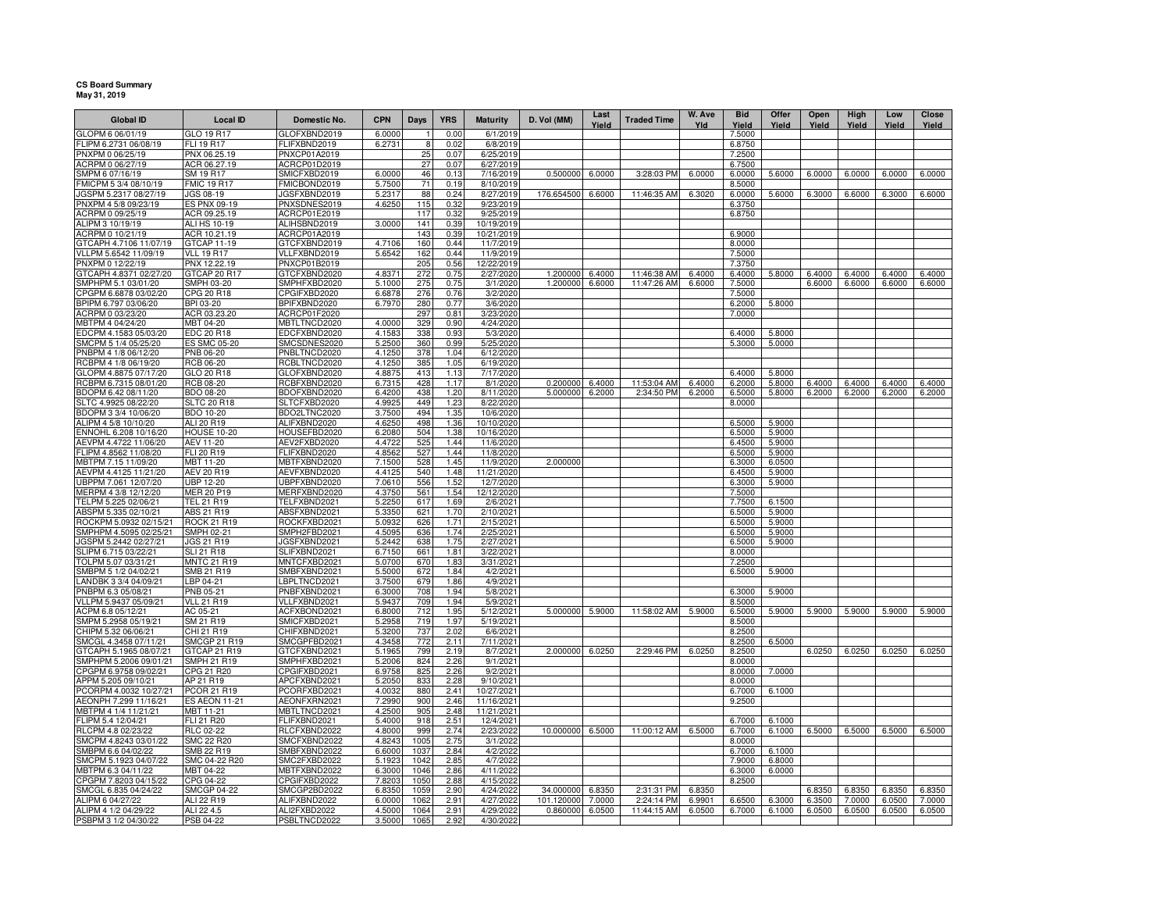## **CS Board Summary May 31, 2019**

| <b>Global ID</b>                                 | <b>Local ID</b>                       | Domestic No.                 | <b>CPN</b>       | Days        | <b>YRS</b>   | <b>Maturity</b>         | D. Vol (MM) | Last<br>Yield | <b>Traded Time</b> | W. Ave<br>Yld | <b>Bid</b><br>Yield | Offer<br>Yield   | Open<br>Yield | High<br>Yield | Low<br>Yield | Close<br>Yield |
|--------------------------------------------------|---------------------------------------|------------------------------|------------------|-------------|--------------|-------------------------|-------------|---------------|--------------------|---------------|---------------------|------------------|---------------|---------------|--------------|----------------|
| GLOPM 6 06/01/19                                 | GLO 19 R17                            | GLOFXBND2019                 | 6.0000           |             | 0.00         | 6/1/2019                |             |               |                    |               | 7.5000              |                  |               |               |              |                |
| FLIPM 6.2731 06/08/19                            | FLI 19 R17                            | FLIFXBND2019                 | 6.2731           | 8           | 0.02         | 6/8/2019                |             |               |                    |               | 6.8750              |                  |               |               |              |                |
| PNXPM 0 06/25/19                                 | PNX 06.25.19                          | PNXCP01A2019                 |                  | 25          | 0.07         | 6/25/2019               |             |               |                    |               | 7.2500              |                  |               |               |              |                |
| ACRPM 0 06/27/19                                 | ACR 06.27.19                          | ACRCP01D2019                 |                  | 27          | 0.07         | 6/27/2019               |             |               |                    |               | 6.7500              |                  |               |               |              |                |
| SMPM 6 07/16/19                                  | SM 19 R17                             | SMICFXBD2019                 | 6.0000           | 46          | 0.13         | 7/16/2019               | 0.500000    | 6.0000        | 3:28:03 PM         | 6.0000        | 6.0000              | 5.6000           | 6.0000        | 6.0000        | 6.0000       | 6.0000         |
| FMICPM 5 3/4 08/10/19<br>JGSPM 5.2317 08/27/19   | <b>FMIC 19 R17</b><br>JGS 08-19       | FMICBOND2019<br>JGSFXBND2019 | 5.7500<br>5.2317 | 71<br>88    | 0.19<br>0.24 | 8/10/2019<br>8/27/2019  | 176.654500  | 6.6000        | 11:46:35 AM        | 6.3020        | 8.5000<br>6.0000    | 5.6000           | 6.3000        | 6.6000        | 6.3000       | 6.6000         |
| PNXPM 4 5/8 09/23/19                             | <b>ES PNX 09-19</b>                   | PNXSDNES2019                 | 4.6250           | 115         | 0.32         | 9/23/2019               |             |               |                    |               | 6.3750              |                  |               |               |              |                |
| ACRPM 0 09/25/19                                 | ACR 09.25.19                          | ACRCP01E2019                 |                  | 117         | 0.32         | 9/25/2019               |             |               |                    |               | 6.8750              |                  |               |               |              |                |
| ALIPM 3 10/19/19                                 | ALI HS 10-19                          | ALIHSBND2019                 | 3.0000           | 141         | 0.39         | 10/19/2019              |             |               |                    |               |                     |                  |               |               |              |                |
| ACRPM 0 10/21/19                                 | ACR 10.21.19                          | ACRCP01A2019                 |                  | 143         | 0.39         | 10/21/2019              |             |               |                    |               | 6.9000              |                  |               |               |              |                |
| GTCAPH 4.7106 11/07/19                           | GTCAP 11-19                           | GTCFXBND2019                 | 4.7106           | 160         | 0.44         | 11/7/2019               |             |               |                    |               | 8.0000              |                  |               |               |              |                |
| VLLPM 5.6542 11/09/19                            | <b>VLL 19 R17</b>                     | VLLFXBND2019                 | 5.6542           | 162         | 0.44         | 11/9/2019               |             |               |                    |               | 7.5000              |                  |               |               |              |                |
| PNXPM 0 12/22/19                                 | PNX 12.22.19                          | PNXCP01B2019                 |                  | 205         | 0.56         | 12/22/2019              |             |               |                    |               | 7.3750              |                  |               |               |              |                |
| GTCAPH 4.8371 02/27/20                           | GTCAP 20 R17                          | GTCFXBND2020                 | 4.8371           | 272         | 0.75         | 2/27/2020               | 1.200000    | 6.4000        | 11:46:38 AM        | 6.4000        | 6.4000              | 5.8000           | 6.4000        | 6.4000        | 6.4000       | 6.4000         |
| SMPHPM 5.1 03/01/20                              | <b>SMPH 03-20</b>                     | SMPHFXBD2020                 | 5.1000           | 275         | 0.75         | 3/1/2020                | 1.200000    | 6.6000        | 11:47:26 AM        | 6.6000        | 7.5000              |                  | 6.6000        | 6.6000        | 6.6000       | 6.6000         |
| CPGPM 6.6878 03/02/20<br>BPIPM 6.797 03/06/20    | CPG 20 R18<br>BPI 03-20               | CPGIFXBD2020<br>BPIFXBND2020 | 6.6878<br>6.7970 | 276<br>280  | 0.76<br>0.77 | 3/2/2020<br>3/6/2020    |             |               |                    |               | 7.5000<br>6.2000    | 5.8000           |               |               |              |                |
| ACRPM 0 03/23/20                                 | ACR 03.23.20                          | ACRCP01F2020                 |                  | 297         | 0.81         | 3/23/2020               |             |               |                    |               | 7.0000              |                  |               |               |              |                |
| MBTPM 4 04/24/20                                 | MBT 04-20                             | MBTLTNCD2020                 | 4.0000           | 329         | 0.90         | 4/24/2020               |             |               |                    |               |                     |                  |               |               |              |                |
| EDCPM 4.1583 05/03/20                            | <b>EDC 20 R18</b>                     | EDCFXBND2020                 | 4.1583           | 338         | 0.93         | 5/3/2020                |             |               |                    |               | 6.4000              | 5.8000           |               |               |              |                |
| SMCPM 5 1/4 05/25/20                             | ES SMC 05-20                          | SMCSDNES2020                 | 5.2500           | 360         | 0.99         | 5/25/2020               |             |               |                    |               | 5.3000              | 5.0000           |               |               |              |                |
| PNBPM 4 1/8 06/12/20                             | PNB 06-20                             | PNBLTNCD2020                 | 4.1250           | 378         | 1.04         | 6/12/2020               |             |               |                    |               |                     |                  |               |               |              |                |
| RCBPM 4 1/8 06/19/20                             | RCB 06-20                             | RCBLTNCD2020                 | 4.1250           | 385         | 1.05         | 6/19/2020               |             |               |                    |               |                     |                  |               |               |              |                |
| GLOPM 4.8875 07/17/20                            | GLO 20 R18                            | GLOFXBND2020                 | 4.8875           | 413         | 1.13         | 7/17/2020               |             |               |                    |               | 6.4000              | 5.8000           |               |               |              |                |
| RCBPM 6.7315 08/01/20                            | RCB 08-20                             | RCBFXBND2020                 | 6.7315           | 428         | 1.17         | 8/1/2020                | 0.200000    | 6.4000        | 11:53:04 AM        | 6.4000        | 6.2000              | 5.8000           | 6.4000        | 6.4000        | 6.4000       | 6.4000         |
| BDOPM 6.42 08/11/20                              | <b>BDO 08-20</b>                      | BDOFXBND2020                 | 6.4200           | 438         | 1.20         | 8/11/2020               | 5.000000    | 6.2000        | 2:34:50 PM         | 6.2000        | 6.5000              | 5.8000           | 6.2000        | 6.2000        | 6.2000       | 6.2000         |
| SLTC 4.9925 08/22/20                             | <b>SLTC 20 R18</b>                    | SLTCFXBD2020                 | 4.9925           | 449         | 1.23         | 8/22/2020               |             |               |                    |               | 8.0000              |                  |               |               |              |                |
| BDOPM 3 3/4 10/06/20<br>ALIPM 4 5/8 10/10/20     | BDO 10-20<br>ALI 20 R19               | BDO2LTNC2020<br>ALIFXBND2020 | 3.7500<br>4.6250 | 494<br>498  | 1.35<br>1.36 | 10/6/2020<br>10/10/2020 |             |               |                    |               | 6.5000              | 5.9000           |               |               |              |                |
| ENNOHL 6.208 10/16/20                            | <b>HOUSE 10-20</b>                    | HOUSEFBD2020                 | 6.2080           | 504         | 1.38         | 10/16/2020              |             |               |                    |               | 6.5000              | 5.9000           |               |               |              |                |
| AEVPM 4.4722 11/06/20                            | AEV 11-20                             | AEV2FXBD2020                 | 4.4722           | 525         | 1.44         | 11/6/2020               |             |               |                    |               | 6.4500              | 5.9000           |               |               |              |                |
| FLIPM 4.8562 11/08/20                            | FLI 20 R19                            | FLIFXBND2020                 | 4.8562           | 527         | 1.44         | 11/8/2020               |             |               |                    |               | 6.5000              | 5.9000           |               |               |              |                |
| MBTPM 7.15 11/09/20                              | MBT 11-20                             | MBTFXBND2020                 | 7.1500           | 528         | 1.45         | 11/9/2020               | 2.000000    |               |                    |               | 6.3000              | 6.0500           |               |               |              |                |
| AEVPM 4.4125 11/21/20                            | AEV 20 R19                            | AEVFXBND2020                 | 4.4125           | 540         | 1.48         | 11/21/2020              |             |               |                    |               | 6.4500              | 5.9000           |               |               |              |                |
| UBPPM 7.061 12/07/20                             | <b>UBP 12-20</b>                      | UBPFXBND2020                 | 7.0610           | 556         | 1.52         | 12/7/2020               |             |               |                    |               | 6.3000              | 5.9000           |               |               |              |                |
| MERPM 4 3/8 12/12/20                             | <b>MER 20 P19</b>                     | MERFXBND2020                 | 4.3750           | 561         | 1.54         | 12/12/2020              |             |               |                    |               | 7.5000              |                  |               |               |              |                |
| TELPM 5.225 02/06/21                             | TEL 21 R19                            | TELFXBND2021                 | 5.2250           | 617         | 1.69         | 2/6/2021                |             |               |                    |               | 7.7500              | 6.1500           |               |               |              |                |
| ABSPM 5.335 02/10/21                             | ABS 21 R19                            | ABSFXBND2021                 | 5.3350           | 621         | 1.70         | 2/10/2021               |             |               |                    |               | 6.5000              | 5.9000           |               |               |              |                |
| ROCKPM 5.0932 02/15/21<br>SMPHPM 4.5095 02/25/21 | <b>ROCK 21 R19</b><br>SMPH 02-21      | ROCKFXBD2021<br>SMPH2FBD2021 | 5.0932<br>4.5095 | 626<br>636  | 1.71<br>1.74 | 2/15/2021<br>2/25/2021  |             |               |                    |               | 6.5000<br>6.5000    | 5.9000<br>5.9000 |               |               |              |                |
| JGSPM 5.2442 02/27/21                            | JGS 21 R19                            | JGSFXBND2021                 | 5.2442           | 638         | 1.75         | 2/27/2021               |             |               |                    |               | 6.5000              | 5.9000           |               |               |              |                |
| SLIPM 6.715 03/22/21                             | <b>SLI 21 R18</b>                     | SLIFXBND2021                 | 6.7150           | 661         | 1.81         | 3/22/2021               |             |               |                    |               | 8.0000              |                  |               |               |              |                |
| TOLPM 5.07 03/31/21                              | <b>MNTC 21 R19</b>                    | MNTCFXBD2021                 | 5.0700           | 67C         | 1.83         | 3/31/2021               |             |               |                    |               | 7.2500              |                  |               |               |              |                |
| SMBPM 5 1/2 04/02/21                             | SMB 21 R19                            | SMBFXBND2021                 | 5.5000           | 672         | 1.84         | 4/2/2021                |             |               |                    |               | 6,5000              | 5.9000           |               |               |              |                |
| LANDBK 3 3/4 04/09/21                            | LBP 04-21                             | LBPLTNCD2021                 | 3.7500           | 679         | 1.86         | 4/9/2021                |             |               |                    |               |                     |                  |               |               |              |                |
| PNBPM 6.3 05/08/21                               | PNB 05-21                             | PNBFXBND2021                 | 6.3000           | 708         | 1.94         | 5/8/2021                |             |               |                    |               | 6.3000              | 5.9000           |               |               |              |                |
| VLLPM 5.9437 05/09/21                            | <b>VLL 21 R19</b>                     | VLLFXBND2021                 | 5.9437           | 709         | 1.94         | 5/9/2021                |             |               |                    |               | 8.5000              |                  |               |               |              |                |
| ACPM 6.8 05/12/21                                | AC 05-21                              | ACFXBOND2021                 | 6.8000           | 712         | 1.95         | $\overline{5/12/2021}$  | 5.000000    | 5.9000        | 11:58:02 AM        | 5.9000        | 6.5000              | 5.9000           | 5.9000        | 5.9000        | 5.9000       | 5.9000         |
| SMPM 5.2958 05/19/21<br>CHIPM 5.32 06/06/21      | SM 21 R19<br>CHI 21 R19               | SMICFXBD2021<br>CHIFXBND2021 | 5.2958<br>5.3200 | 719<br>737  | 1.97<br>2.02 | 5/19/2021<br>6/6/2021   |             |               |                    |               | 8.5000<br>8.2500    |                  |               |               |              |                |
| SMCGL 4.3458 07/11/21                            | SMCGP 21 R19                          | SMCGPFBD2021                 | 4.3458           | 772         | 2.11         | 7/11/2021               |             |               |                    |               | 8.2500              | 6.5000           |               |               |              |                |
| GTCAPH 5.1965 08/07/21                           | GTCAP 21 R19                          | GTCFXBND2021                 | 5.1965           | 799         | 2.19         | 8/7/2021                | 2.000000    | 6.0250        | 2:29:46 PM         | 6.0250        | 8.2500              |                  | 6.0250        | 6.0250        | 6.0250       | 6.0250         |
| SMPHPM 5.2006 09/01/21                           | <b>SMPH 21 R19</b>                    | SMPHFXBD2021                 | 5.2006           | 824         | 2.26         | 9/1/2021                |             |               |                    |               | 8.0000              |                  |               |               |              |                |
| CPGPM 6.9758 09/02/21                            | CPG 21 R20                            | CPGIFXBD2021                 | 6.9758           | 825         | 2.26         | 9/2/2021                |             |               |                    |               | 8.0000              | 7.0000           |               |               |              |                |
| APPM 5.205 09/10/21                              | AP 21 R19                             | APCFXBND2021                 | 5.2050           | 833         | 2.28         | 9/10/2021               |             |               |                    |               | 8.0000              |                  |               |               |              |                |
| PCORPM 4.0032 10/27/21                           | PCOR 21 R19                           | PCORFXBD2021                 | 4.0032           | 880         | 2.41         | 10/27/2021              |             |               |                    |               | 6.7000              | 6.1000           |               |               |              |                |
| AEONPH 7.299 11/16/21                            | <b>ES AEON 11-21</b>                  | AEONFXRN2021                 | 7.2990           | 90C         | 2.46         | 11/16/2021              |             |               |                    |               | 9.2500              |                  |               |               |              |                |
| MBTPM 4 1/4 11/21/21                             | MBT 11-21                             | MBTLTNCD2021                 | 4.2500           | 905         | 2.48         | 11/21/2021              |             |               |                    |               |                     |                  |               |               |              |                |
| FLIPM 5.4 12/04/21                               | FLI 21 R20                            | FLIFXBND2021                 | 5.4000           | 918         | 2.51         | 12/4/2021               |             |               |                    |               | 6.7000              | 6.1000           |               |               |              |                |
| RLCPM 4.8 02/23/22<br>SMCPM 4.8243 03/01/22      | <b>RLC 02-22</b><br><b>SMC 22 R20</b> | RLCFXBND2022<br>SMCFXBND2022 | 4.8000<br>4.8243 | 999<br>1005 | 2.74<br>2.75 | 2/23/2022               | 10.000000   | 6.5000        | 11:00:12 AM        | 6.5000        | 6.7000<br>8.0000    | 6.1000           | 6.5000        | 6.5000        | 6.5000       | 6.5000         |
| SMBPM 6.6 04/02/22                               | SMB 22 R19                            | SMBFXBND2022                 | 6.6000           | 1037        | 2.84         | 3/1/2022<br>4/2/2022    |             |               |                    |               | 6.7000              | 6.1000           |               |               |              |                |
| SMCPM 5.1923 04/07/22                            | SMC 04-22 R20                         | SMC2FXBD2022                 | 5.1923           | 1042        | 2.85         | 4/7/2022                |             |               |                    |               | 7.9000              | 6.8000           |               |               |              |                |
| MBTPM 6.3 04/11/22                               | MBT 04-22                             | MBTFXBND2022                 | 6.3000           | 1046        | 2.86         | 4/11/2022               |             |               |                    |               | 6.3000              | 6.0000           |               |               |              |                |
| CPGPM 7.8203 04/15/22                            | CPG 04-22                             | CPGIFXBD2022                 | 7.8203           | 1050        | 2.88         | 4/15/2022               |             |               |                    |               | 8.2500              |                  |               |               |              |                |
| SMCGL 6.835 04/24/22                             | <b>SMCGP 04-22</b>                    | SMCGP2BD2022                 | 6.8350           | 1059        | 2.90         | 4/24/2022               | 34.000000   | 6.8350        | 2:31:31 PM         | 6.8350        |                     |                  | 6.8350        | 6.8350        | 6.8350       | 6.8350         |
| ALIPM 6 04/27/22                                 | ALI 22 R19                            | ALIFXBND2022                 | 6.0000           | 1062        | 2.91         | 4/27/2022               | 101.120000  | 7.0000        | 2:24:14 PM         | 6.9901        | 6.6500              | 6.3000           | 6.3500        | 7.0000        | 6.0500       | 7.0000         |
| ALIPM 4 1/2 04/29/22                             | ALI 22 4.5                            | ALI2FXBD2022                 | 4.5000           | 1064        | 2.91         | 4/29/2022               | 0.860000    | 6.0500        | 11:44:15 AM        | 6.0500        | 6.7000              | 6.1000           | 6.0500        | 6.0500        | 6.0500       | 6.0500         |
| PSBPM 3 1/2 04/30/22                             | PSB 04-22                             | PSBLTNCD2022                 | 3.5000           | 1065        | 2.92         | 4/30/2022               |             |               |                    |               |                     |                  |               |               |              |                |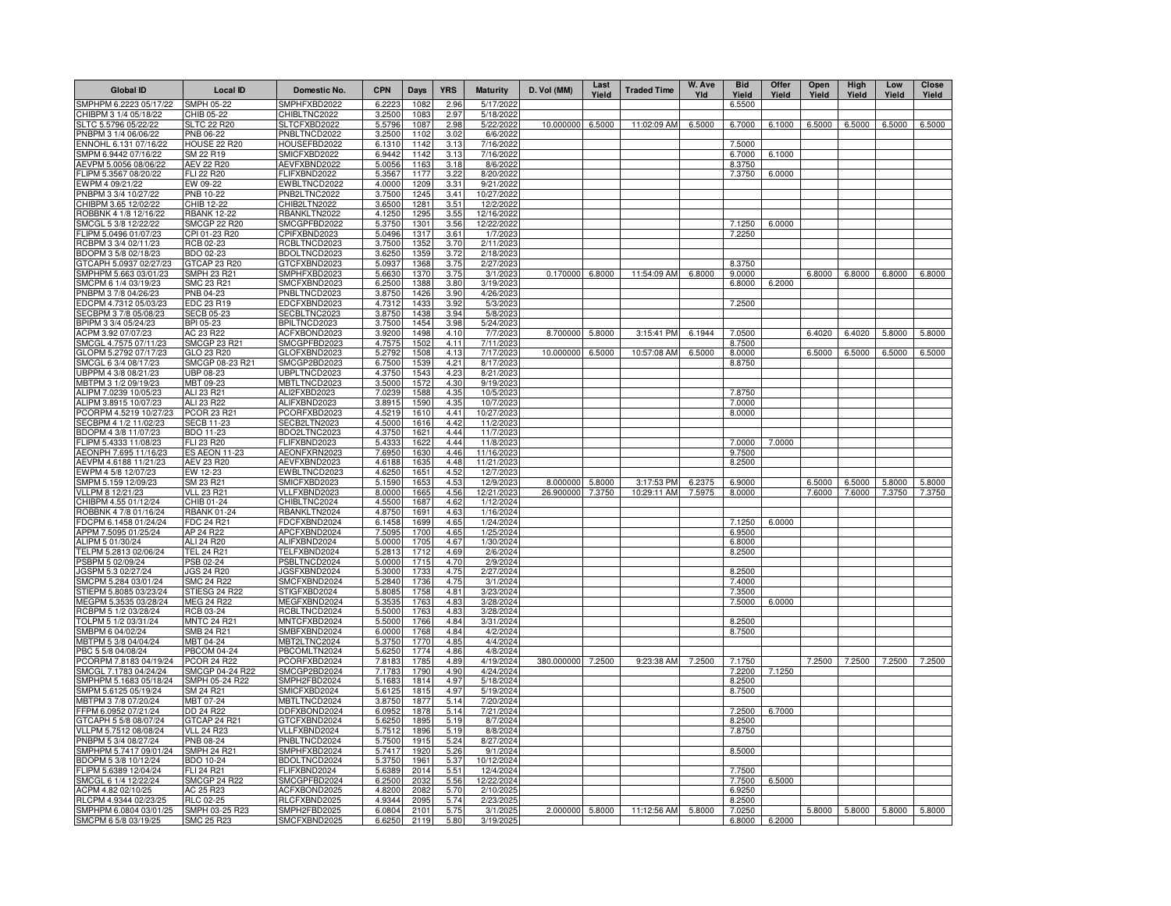| <b>SMPH 05-22</b><br>SMPHFXBD2022<br>6.2223<br>1082<br>5/17/2022<br>2.96<br>6.5500<br>3.2500<br>CHIBPM 3 1/4 05/18/22<br>CHIB 05-22<br>CHIBLTNC2022<br>1083<br>2.97<br>5/18/2022<br>SLTC 5.5796 05/22/22<br>10.000000<br>6.5000<br>11:02:09 AM<br>6.5000<br>6.7000<br>6.1000<br>6.5000<br>6.5000<br>6.5000<br>6.5000<br><b>SLTC 22 R20</b><br>SLTCFXBD2022<br>5.5796<br>1087<br>2.98<br>5/22/2022<br>PNBPM 3 1/4 06/06/22<br>3.2500<br>PNB 06-22<br>PNBLTNCD2022<br>1102<br>3.02<br>6/6/2022<br>ENNOHL 6.131 07/16/22<br><b>HOUSE 22 R20</b><br>7.5000<br>HOUSEFBD2022<br>6.1310<br>1142<br>3.13<br>7/16/2022<br>SMPM 6.9442 07/16/22<br>SM 22 R19<br>6.7000<br>6.1000<br>SMICFXBD2022<br>6.9442<br>1142<br>3.13<br>7/16/2022<br>AEVPM 5.0056 08/06/22<br>AEV 22 R20<br>AEVFXBND2022<br>5.0056<br>1163<br>3.18<br>8/6/2022<br>8.3750<br>FLI 22 R20<br>FLIFXBND2022<br>5.3567<br>1177<br>3.22<br>8/20/2022<br>7.3750<br>6.0000<br>EW 09-22<br>EWBLTNCD2022<br>4.0000<br>1209<br>3.31<br>9/21/2022<br>PNB 10-22<br>PNB2LTNC2022<br>3.7500<br>1245<br>3.41<br>10/27/2022<br>CHIBPM 3.65 12/02/22<br>CHIB 12-22<br>CHIB2LTN2022<br>3.6500<br>1281<br>3.51<br>12/2/2022<br>ROBBNK 4 1/8 12/16/22<br><b>RBANK 12-22</b><br>RBANKLTN2022<br>4.1250<br>1295<br>3.55<br>12/16/2022<br>SMCGL 5 3/8 12/22/22<br><b>SMCGP 22 R20</b><br>SMCGPFBD2022<br>5.3750<br>1301<br>3.56<br>12/22/2022<br>7.1250<br>6.0000<br>FLIPM 5.0496 01/07/23<br>CPI 01-23 R20<br>CPIFXBND2023<br>5.0496<br>1317<br>3.61<br>1/7/2023<br>7.2250<br>RCBPM 3 3/4 02/11/23<br>RCB 02-23<br>RCBLTNCD2023<br>3.7500<br>1352<br>3.70<br>2/11/2023<br>BDOPM 3 5/8 02/18/23<br>BDO 02-23<br>BDOLTNCD2023<br>3.6250<br>1359<br>3.72<br>2/18/2023<br>GTCAP 23 R20<br>GTCFXBND2023<br>5.0937<br>1368<br>3.75<br>2/27/2023<br>8.3750<br>0.170000 6.8000<br>6.8000<br>6.8000<br>6.8000<br>SMPHPM 5.663 03/01/23<br>SMPH 23 R21<br>SMPHFXBD2023<br>5.6630<br>1370<br>3.75<br>3/1/2023<br>11:54:09 AM<br>9.0000<br>6.8000<br>6.8000<br>SMCPM 6 1/4 03/19/23<br>6.2000<br>6.8000<br>SMC 23 R21<br>SMCFXBND2023<br>6.2500<br>1388<br>3.80<br>3/19/202<br>PNBPM 3 7/8 04/26/23<br>PNBLTNCD2023<br>3.8750<br>4/26/2023<br>PNB 04-23<br>1426<br>3.90<br>EDCPM 4.7312 05/03/23<br>7.2500<br>EDC 23 R19<br>EDCFXBND2023<br>4.7312<br>3.92<br>5/3/2023<br>1433<br>SECBLTNC2023<br>3.8750<br>3.94<br>SECBPM 3 7/8 05/08/23<br>SECB 05-23<br>1438<br>5/8/2023<br>BPIPM 3 3/4 05/24/23<br>BPI 05-23<br>BPILTNCD2023<br>3.7500<br>1454<br>3.98<br>5/24/2023<br>6.1944<br>ACPM 3.92 07/07/23<br>AC 23 R22<br>ACFXBOND2023<br>3.9200<br>8.700000 5.8000<br>3:15:41 PM<br>7.0500<br>6.4020<br>6.4020<br>5.8000<br>5.8000<br>1498<br>4.10<br>7/7/2023<br>SMCGL 4.7575 07/11/23<br><b>SMCGP 23 R21</b><br>SMCGPFBD2023<br>4.7575<br>8.7500<br>1502<br>4.11<br>7/11/2023<br>6.5000<br>6.5000<br>6.5000<br>6.5000<br>GLOPM 5.2792 07/17/23<br>GLOFXBND2023<br>5.2792<br>$\frac{1}{7}$ 17/202<br>10.000000<br>10:57:08 AM<br>6.5000<br>6.5000<br>GLO 23 R20<br>1508<br>4.13<br>8.0000<br>SMCGP 08-23 R21<br>SMCGP2BD2023<br>6.7500<br>8/17/2023<br>8.8750<br>SMCGL 6 3/4 08/17/23<br>1539<br>4.21<br>UBPLTNCD2023<br>4.3750<br>UBPPM 4 3/8 08/21/23<br>UBP 08-23<br>1543<br>4.23<br>8/21/2023<br>MBTPM 3 1/2 09/19/23<br>MBTLTNCD2023<br>3.5000<br>MBT 09-23<br>1572<br>4.3C<br>9/19/2023<br>7.8750<br>ALIPM 7.0239 10/05/23<br>ALI 23 R21<br>ALI2FXBD2023<br>7.0239<br>10/5/2023<br>1588<br>4.35<br>ALIPM 3.8915 10/07/23<br>ALI 23 R22<br>ALIFXBND2023<br>3.8915<br>1590<br>10/7/2023<br>7.0000<br>4.35<br>PCORPM 4.5219 10/27/23<br>4.5219<br>4.41<br>8.0000<br>PCOR 23 R21<br>PCORFXBD2023<br>1610<br>10/27/2023<br>SECBPM 4 1/2 11/02/23<br><b>SECB 11-23</b><br>4.5000<br>4.42<br>11/2/2023<br>SECB2LTN2023<br>1616<br>BDO 11-23<br>BDO2LTNC2023<br>4.3750<br>4.44<br>11/7/2023<br>1621<br>FLIPM 5.4333 11/08/23<br>FLI 23 R20<br>FLIFXBND2023<br>5.4333<br>1622<br>4.44<br>11/8/2023<br>7.0000<br>7.0000<br>AEONFXRN2023<br><b>ES AEON 11-23</b><br>11/16/2023<br>9.7500<br>AEONPH 7.695 11/16/23<br>7.6950<br>1630<br>4.46<br>AEVFXBND2023<br>AEVPM 4.6188 11/21/23<br><b>AEV 23 R20</b><br>4.48<br>11/21/2023<br>8.2500<br>4.6188<br>1635<br>EWPM 4 5/8 12/07/23<br>EWBLTNCD2023<br>12/7/2023<br>EW 12-23<br>4.6250<br>1651<br>4.52<br>SMPM 5.159 12/09/23<br>SM 23 R21<br>SMICFXBD2023<br>5.1590<br>12/9/2023<br>5.8000<br>3:17:53 PM<br>6.2375<br>6.9000<br>6.5000<br>6.5000<br>1653<br>4.53<br>8.000000<br>5.8000<br>5.8000<br>26.900000 7.3750<br>10:29:11 AM<br>7.5975<br>8.0000<br>7.6000<br>7.6000<br>7.3750<br>7.3750<br>VLLPM 8 12/21/23<br><b>VLL 23 R21</b><br>VLLFXBND2023<br>8.0000<br>12/21/2023<br>1665<br>4.56<br>CHIBPM 4.55 01/12/24<br>CHIBLTNC2024<br>1/12/2024<br>CHIB 01-24<br>4.5500<br>1687<br>4.62<br><b>RBANK 01-24</b><br>RBANKLTN2024<br>4.8750<br>1/16/2024<br>1691<br>4.63<br>FDCPM 6.1458 01/24/24<br>FDC 24 R21<br>FDCFXBND2024<br>6.1458<br>1699<br>4.65<br>1/24/2024<br>7.1250<br>6.0000<br>AP 24 R22<br>APCFXBND2024<br>7.5095<br>1700<br>1/25/2024<br>6.9500<br>APPM 7.5095 01/25/24<br>4.65<br>ALIPM 5 01/30/24<br>ALI 24 R20<br>ALIFXBND2024<br>5.0000<br>1705<br>4.67<br>1/30/2024<br>6.8000<br><b>TEL 24 R21</b><br>TELFXBND2024<br>5.2813<br>1712<br>8.2500<br>TELPM 5.2813 02/06/24<br>4.69<br>2/6/2024<br>PSBPM 5 02/09/24<br>PSB 02-24<br>PSBLTNCD2024<br>5.0000<br>1715<br>4.70<br>2/9/2024<br>JGSFXBND2024<br>5.3000<br>1733<br>4.75<br>2/27/2024<br>8.2500<br>JGSPM 5.3 02/27/24<br><b>JGS 24 R20</b><br>SMCPM 5.284 03/01/24<br><b>SMC 24 R22</b><br>SMCFXBND2024<br>5.2840<br>1736<br>4.75<br>3/1/2024<br>7.4000<br>STIESG 24 R22<br>STIGFXBD2024<br>5.8085<br>1758<br>4.81<br>3/23/2024<br>7.3500<br><b>MEG 24 R22</b><br>MEGFXBND2024<br>1763<br>7.5000<br>6.0000<br>5.3535<br>4.83<br>3/28/2024<br>RCBPM 5 1/2 03/28/24<br>RCBLTNCD2024<br>5.5000<br>1763<br>4.83<br>3/28/2024<br>RCB 03-24<br>MNTCFXBD2024<br>1766<br>TOLPM 5 1/2 03/31/24<br><b>MNTC 24 R21</b><br>5.5000<br>4.84<br>3/31/2024<br>8.2500<br>SMBPM 6 04/02/24<br>SMBFXBND2024<br>1768<br>8.7500<br>SMB 24 R21<br>6.0000<br>4.84<br>4/2/2024<br>MBTPM 5 3/8 04/04/24<br>MBT 04-24<br>MBT2LTNC2024<br>5.3750<br>1770<br>4/4/2024<br>4.85<br>PBC 5 5/8 04/08/24<br><b>PBCOM 04-24</b><br>PBCOMLTN2024<br>5.625<br>1774<br>4.86<br>4/8/2024<br>380.000000<br>9:23:38 AM<br>7.2500<br>7.2500<br>7.2500<br><b>PCOR 24 R22</b><br>PCORFXBD2024<br>7.8183<br>1785<br>4.89<br>4/19/2024<br>7.2500<br>7.2500<br>7.1750<br>7.2500<br>SMCGP 04-24 R22<br>SMCGP2BD2024<br>7.1783<br>1790<br>4.90<br>4/24/2024<br>7.2200<br>7.1250<br>SMPH 05-24 R22<br>SMPH2FBD2024<br>5.1683<br>1814<br>4.97<br>5/18/2024<br>8.2500<br>SMPM 5.6125 05/19/24<br>SM 24 R21<br>SMICFXBD2024<br>5.6125<br>1815<br>4.97<br>5/19/2024<br>8.7500<br>MBTPM 3 7/8 07/20/24<br>MBT 07-24<br>MBTLTNCD2024<br>3.8750<br>1877<br>5.14<br>7/20/2024<br>DDFXBOND2024<br>FFPM 6.0952 07/21/24<br>DD 24 R22<br>6.095<br>1878<br>5.14<br>7/21/2024<br>7.2500<br>6.7000<br>GTCAPH 5 5/8 08/07/24<br>GTCAP 24 R21<br>GTCFXBND2024<br>5.6250<br>1895<br>5.19<br>8/7/2024<br>8.2500<br>VLLPM 5.7512 08/08/24<br><b>VLL 24 R23</b><br>VLLFXBND2024<br>5.7512<br>1896<br>5.19<br>8/8/2024<br>7.8750<br>PNBLTNCD2024<br><b>PNB 08-24</b><br>5.7500<br>1915<br>5.24<br>8/27/2024<br><b>SMPH 24 R21</b><br>SMPHFXBD2024<br>5.7417<br>1920<br>5.26<br>9/1/2024<br>8.5000<br><b>BDO 10-24</b><br>BDOLTNCD2024<br>5.3750<br>196 <sup>°</sup><br>5.37<br>10/12/2024<br>FLIFXBND2024<br>12/4/2024<br>FLI 24 R21<br>5.6389<br>2014<br>5.51<br>7.7500<br>SMCGL 6 1/4 12/22/24<br><b>SMCGP 24 R22</b><br>SMCGPFBD2024<br>12/22/2024<br>7.7500<br>6.5000<br>6.2500<br>2032<br>5.56<br>ACPM 4.82 02/10/25<br>AC 25 R23<br>ACFXBOND2025<br>2/10/2025<br>6.9250<br>4.8200<br>2082<br>5.70<br>RLCPM 4.9344 02/23/25<br><b>RLC 02-25</b><br>RLCFXBND2025<br>4.9344<br>2095<br>2/23/2025<br>8.2500<br>5.74<br>SMPHPM 6.0804 03/01/25<br>SMPH 03-25 R23<br>SMPH2FBD2025<br>210 <sup>1</sup><br>2.000000 5.8000<br>11:12:56 AM<br>5.8000<br>7.0250<br>5.8000<br>5.8000<br>5.8000<br>5.8000<br>6.0804<br>5.75<br>3/1/2025<br>SMCPM 6 5/8 03/19/25<br><b>SMC 25 R23</b><br>SMCFXBND2025<br>2119<br>5.80<br>6.2000<br>6.6250<br>3/19/2025<br>6.8000 | <b>Global ID</b>       | <b>Local ID</b> | Domestic No. | <b>CPN</b> | Days | <b>YRS</b> | <b>Maturity</b> | D. Vol (MM) | Last<br>Yield | <b>Traded Time</b> | W. Ave<br>Yld | <b>Bid</b><br>Yield | Offer<br>Yield | Open<br>Yield | High<br>Yield | Low<br>Yield | <b>Close</b><br>Yield |
|------------------------------------------------------------------------------------------------------------------------------------------------------------------------------------------------------------------------------------------------------------------------------------------------------------------------------------------------------------------------------------------------------------------------------------------------------------------------------------------------------------------------------------------------------------------------------------------------------------------------------------------------------------------------------------------------------------------------------------------------------------------------------------------------------------------------------------------------------------------------------------------------------------------------------------------------------------------------------------------------------------------------------------------------------------------------------------------------------------------------------------------------------------------------------------------------------------------------------------------------------------------------------------------------------------------------------------------------------------------------------------------------------------------------------------------------------------------------------------------------------------------------------------------------------------------------------------------------------------------------------------------------------------------------------------------------------------------------------------------------------------------------------------------------------------------------------------------------------------------------------------------------------------------------------------------------------------------------------------------------------------------------------------------------------------------------------------------------------------------------------------------------------------------------------------------------------------------------------------------------------------------------------------------------------------------------------------------------------------------------------------------------------------------------------------------------------------------------------------------------------------------------------------------------------------------------------------------------------------------------------------------------------------------------------------------------------------------------------------------------------------------------------------------------------------------------------------------------------------------------------------------------------------------------------------------------------------------------------------------------------------------------------------------------------------------------------------------------------------------------------------------------------------------------------------------------------------------------------------------------------------------------------------------------------------------------------------------------------------------------------------------------------------------------------------------------------------------------------------------------------------------------------------------------------------------------------------------------------------------------------------------------------------------------------------------------------------------------------------------------------------------------------------------------------------------------------------------------------------------------------------------------------------------------------------------------------------------------------------------------------------------------------------------------------------------------------------------------------------------------------------------------------------------------------------------------------------------------------------------------------------------------------------------------------------------------------------------------------------------------------------------------------------------------------------------------------------------------------------------------------------------------------------------------------------------------------------------------------------------------------------------------------------------------------------------------------------------------------------------------------------------------------------------------------------------------------------------------------------------------------------------------------------------------------------------------------------------------------------------------------------------------------------------------------------------------------------------------------------------------------------------------------------------------------------------------------------------------------------------------------------------------------------------------------------------------------------------------------------------------------------------------------------------------------------------------------------------------------------------------------------------------------------------------------------------------------------------------------------------------------------------------------------------------------------------------------------------------------------------------------------------------------------------------------------------------------------------------------------------------------------------------------------------------------------------------------------------------------------------------------------------------------------------------------------------------------------------------------------------------------------------------------------------------------------------------------------------------------------------------------------------------------------------------------------------------------------------------------------------------------------------------------------------------------------------------------------------------------------------------------------------------------------------------------------------------------------------------------------------------------------------------------------------------------------------------------------------------------------------------------------------------------------------------------------------------------------------------------------------------------------------------------------------------------------------------------------------------------------------------------------------------------------------------------------------------------------------------------------------------------------------------------------------------------------------------------------------------------------------------------------------------------------------------------------------------------------------------------------------------------------------------------------------------------------------------------------------------------------------------------------------------------------------------------------------------------------------------------------------------------------------------------------------------------------------------------------------------------------------------------------------------------------------------------------------------------------------------------------------------------------------------------------------------------------------------------------------------------------------------------------------------------------------------------------------------------------------------------------------------------------------------------------------------------------------------------------------------------------|------------------------|-----------------|--------------|------------|------|------------|-----------------|-------------|---------------|--------------------|---------------|---------------------|----------------|---------------|---------------|--------------|-----------------------|
|                                                                                                                                                                                                                                                                                                                                                                                                                                                                                                                                                                                                                                                                                                                                                                                                                                                                                                                                                                                                                                                                                                                                                                                                                                                                                                                                                                                                                                                                                                                                                                                                                                                                                                                                                                                                                                                                                                                                                                                                                                                                                                                                                                                                                                                                                                                                                                                                                                                                                                                                                                                                                                                                                                                                                                                                                                                                                                                                                                                                                                                                                                                                                                                                                                                                                                                                                                                                                                                                                                                                                                                                                                                                                                                                                                                                                                                                                                                                                                                                                                                                                                                                                                                                                                                                                                                                                                                                                                                                                                                                                                                                                                                                                                                                                                                                                                                                                                                                                                                                                                                                                                                                                                                                                                                                                                                                                                                                                                                                                                                                                                                                                                                                                                                                                                                                                                                                                                                                                                                                                                                                                                                                                                                                                                                                                                                                                                                                                                                                                                                                                                                                                                                                                                                                                                                                                                                                                                                                                                                                                                                                                                                                                                                                                                                                                                                                                                                                                                                                                                                                                                                                                                                                                                                                                                                                                                                                                                                                                                                                                                                                                                                                                                                                                                    | SMPHPM 6.2223 05/17/22 |                 |              |            |      |            |                 |             |               |                    |               |                     |                |               |               |              |                       |
|                                                                                                                                                                                                                                                                                                                                                                                                                                                                                                                                                                                                                                                                                                                                                                                                                                                                                                                                                                                                                                                                                                                                                                                                                                                                                                                                                                                                                                                                                                                                                                                                                                                                                                                                                                                                                                                                                                                                                                                                                                                                                                                                                                                                                                                                                                                                                                                                                                                                                                                                                                                                                                                                                                                                                                                                                                                                                                                                                                                                                                                                                                                                                                                                                                                                                                                                                                                                                                                                                                                                                                                                                                                                                                                                                                                                                                                                                                                                                                                                                                                                                                                                                                                                                                                                                                                                                                                                                                                                                                                                                                                                                                                                                                                                                                                                                                                                                                                                                                                                                                                                                                                                                                                                                                                                                                                                                                                                                                                                                                                                                                                                                                                                                                                                                                                                                                                                                                                                                                                                                                                                                                                                                                                                                                                                                                                                                                                                                                                                                                                                                                                                                                                                                                                                                                                                                                                                                                                                                                                                                                                                                                                                                                                                                                                                                                                                                                                                                                                                                                                                                                                                                                                                                                                                                                                                                                                                                                                                                                                                                                                                                                                                                                                                                                    |                        |                 |              |            |      |            |                 |             |               |                    |               |                     |                |               |               |              |                       |
|                                                                                                                                                                                                                                                                                                                                                                                                                                                                                                                                                                                                                                                                                                                                                                                                                                                                                                                                                                                                                                                                                                                                                                                                                                                                                                                                                                                                                                                                                                                                                                                                                                                                                                                                                                                                                                                                                                                                                                                                                                                                                                                                                                                                                                                                                                                                                                                                                                                                                                                                                                                                                                                                                                                                                                                                                                                                                                                                                                                                                                                                                                                                                                                                                                                                                                                                                                                                                                                                                                                                                                                                                                                                                                                                                                                                                                                                                                                                                                                                                                                                                                                                                                                                                                                                                                                                                                                                                                                                                                                                                                                                                                                                                                                                                                                                                                                                                                                                                                                                                                                                                                                                                                                                                                                                                                                                                                                                                                                                                                                                                                                                                                                                                                                                                                                                                                                                                                                                                                                                                                                                                                                                                                                                                                                                                                                                                                                                                                                                                                                                                                                                                                                                                                                                                                                                                                                                                                                                                                                                                                                                                                                                                                                                                                                                                                                                                                                                                                                                                                                                                                                                                                                                                                                                                                                                                                                                                                                                                                                                                                                                                                                                                                                                                                    |                        |                 |              |            |      |            |                 |             |               |                    |               |                     |                |               |               |              |                       |
|                                                                                                                                                                                                                                                                                                                                                                                                                                                                                                                                                                                                                                                                                                                                                                                                                                                                                                                                                                                                                                                                                                                                                                                                                                                                                                                                                                                                                                                                                                                                                                                                                                                                                                                                                                                                                                                                                                                                                                                                                                                                                                                                                                                                                                                                                                                                                                                                                                                                                                                                                                                                                                                                                                                                                                                                                                                                                                                                                                                                                                                                                                                                                                                                                                                                                                                                                                                                                                                                                                                                                                                                                                                                                                                                                                                                                                                                                                                                                                                                                                                                                                                                                                                                                                                                                                                                                                                                                                                                                                                                                                                                                                                                                                                                                                                                                                                                                                                                                                                                                                                                                                                                                                                                                                                                                                                                                                                                                                                                                                                                                                                                                                                                                                                                                                                                                                                                                                                                                                                                                                                                                                                                                                                                                                                                                                                                                                                                                                                                                                                                                                                                                                                                                                                                                                                                                                                                                                                                                                                                                                                                                                                                                                                                                                                                                                                                                                                                                                                                                                                                                                                                                                                                                                                                                                                                                                                                                                                                                                                                                                                                                                                                                                                                                                    |                        |                 |              |            |      |            |                 |             |               |                    |               |                     |                |               |               |              |                       |
|                                                                                                                                                                                                                                                                                                                                                                                                                                                                                                                                                                                                                                                                                                                                                                                                                                                                                                                                                                                                                                                                                                                                                                                                                                                                                                                                                                                                                                                                                                                                                                                                                                                                                                                                                                                                                                                                                                                                                                                                                                                                                                                                                                                                                                                                                                                                                                                                                                                                                                                                                                                                                                                                                                                                                                                                                                                                                                                                                                                                                                                                                                                                                                                                                                                                                                                                                                                                                                                                                                                                                                                                                                                                                                                                                                                                                                                                                                                                                                                                                                                                                                                                                                                                                                                                                                                                                                                                                                                                                                                                                                                                                                                                                                                                                                                                                                                                                                                                                                                                                                                                                                                                                                                                                                                                                                                                                                                                                                                                                                                                                                                                                                                                                                                                                                                                                                                                                                                                                                                                                                                                                                                                                                                                                                                                                                                                                                                                                                                                                                                                                                                                                                                                                                                                                                                                                                                                                                                                                                                                                                                                                                                                                                                                                                                                                                                                                                                                                                                                                                                                                                                                                                                                                                                                                                                                                                                                                                                                                                                                                                                                                                                                                                                                                                    |                        |                 |              |            |      |            |                 |             |               |                    |               |                     |                |               |               |              |                       |
|                                                                                                                                                                                                                                                                                                                                                                                                                                                                                                                                                                                                                                                                                                                                                                                                                                                                                                                                                                                                                                                                                                                                                                                                                                                                                                                                                                                                                                                                                                                                                                                                                                                                                                                                                                                                                                                                                                                                                                                                                                                                                                                                                                                                                                                                                                                                                                                                                                                                                                                                                                                                                                                                                                                                                                                                                                                                                                                                                                                                                                                                                                                                                                                                                                                                                                                                                                                                                                                                                                                                                                                                                                                                                                                                                                                                                                                                                                                                                                                                                                                                                                                                                                                                                                                                                                                                                                                                                                                                                                                                                                                                                                                                                                                                                                                                                                                                                                                                                                                                                                                                                                                                                                                                                                                                                                                                                                                                                                                                                                                                                                                                                                                                                                                                                                                                                                                                                                                                                                                                                                                                                                                                                                                                                                                                                                                                                                                                                                                                                                                                                                                                                                                                                                                                                                                                                                                                                                                                                                                                                                                                                                                                                                                                                                                                                                                                                                                                                                                                                                                                                                                                                                                                                                                                                                                                                                                                                                                                                                                                                                                                                                                                                                                                                                    |                        |                 |              |            |      |            |                 |             |               |                    |               |                     |                |               |               |              |                       |
|                                                                                                                                                                                                                                                                                                                                                                                                                                                                                                                                                                                                                                                                                                                                                                                                                                                                                                                                                                                                                                                                                                                                                                                                                                                                                                                                                                                                                                                                                                                                                                                                                                                                                                                                                                                                                                                                                                                                                                                                                                                                                                                                                                                                                                                                                                                                                                                                                                                                                                                                                                                                                                                                                                                                                                                                                                                                                                                                                                                                                                                                                                                                                                                                                                                                                                                                                                                                                                                                                                                                                                                                                                                                                                                                                                                                                                                                                                                                                                                                                                                                                                                                                                                                                                                                                                                                                                                                                                                                                                                                                                                                                                                                                                                                                                                                                                                                                                                                                                                                                                                                                                                                                                                                                                                                                                                                                                                                                                                                                                                                                                                                                                                                                                                                                                                                                                                                                                                                                                                                                                                                                                                                                                                                                                                                                                                                                                                                                                                                                                                                                                                                                                                                                                                                                                                                                                                                                                                                                                                                                                                                                                                                                                                                                                                                                                                                                                                                                                                                                                                                                                                                                                                                                                                                                                                                                                                                                                                                                                                                                                                                                                                                                                                                                                    | FLIPM 5.3567 08/20/22  |                 |              |            |      |            |                 |             |               |                    |               |                     |                |               |               |              |                       |
|                                                                                                                                                                                                                                                                                                                                                                                                                                                                                                                                                                                                                                                                                                                                                                                                                                                                                                                                                                                                                                                                                                                                                                                                                                                                                                                                                                                                                                                                                                                                                                                                                                                                                                                                                                                                                                                                                                                                                                                                                                                                                                                                                                                                                                                                                                                                                                                                                                                                                                                                                                                                                                                                                                                                                                                                                                                                                                                                                                                                                                                                                                                                                                                                                                                                                                                                                                                                                                                                                                                                                                                                                                                                                                                                                                                                                                                                                                                                                                                                                                                                                                                                                                                                                                                                                                                                                                                                                                                                                                                                                                                                                                                                                                                                                                                                                                                                                                                                                                                                                                                                                                                                                                                                                                                                                                                                                                                                                                                                                                                                                                                                                                                                                                                                                                                                                                                                                                                                                                                                                                                                                                                                                                                                                                                                                                                                                                                                                                                                                                                                                                                                                                                                                                                                                                                                                                                                                                                                                                                                                                                                                                                                                                                                                                                                                                                                                                                                                                                                                                                                                                                                                                                                                                                                                                                                                                                                                                                                                                                                                                                                                                                                                                                                                                    | EWPM 4 09/21/22        |                 |              |            |      |            |                 |             |               |                    |               |                     |                |               |               |              |                       |
|                                                                                                                                                                                                                                                                                                                                                                                                                                                                                                                                                                                                                                                                                                                                                                                                                                                                                                                                                                                                                                                                                                                                                                                                                                                                                                                                                                                                                                                                                                                                                                                                                                                                                                                                                                                                                                                                                                                                                                                                                                                                                                                                                                                                                                                                                                                                                                                                                                                                                                                                                                                                                                                                                                                                                                                                                                                                                                                                                                                                                                                                                                                                                                                                                                                                                                                                                                                                                                                                                                                                                                                                                                                                                                                                                                                                                                                                                                                                                                                                                                                                                                                                                                                                                                                                                                                                                                                                                                                                                                                                                                                                                                                                                                                                                                                                                                                                                                                                                                                                                                                                                                                                                                                                                                                                                                                                                                                                                                                                                                                                                                                                                                                                                                                                                                                                                                                                                                                                                                                                                                                                                                                                                                                                                                                                                                                                                                                                                                                                                                                                                                                                                                                                                                                                                                                                                                                                                                                                                                                                                                                                                                                                                                                                                                                                                                                                                                                                                                                                                                                                                                                                                                                                                                                                                                                                                                                                                                                                                                                                                                                                                                                                                                                                                                    | PNBPM 3 3/4 10/27/22   |                 |              |            |      |            |                 |             |               |                    |               |                     |                |               |               |              |                       |
|                                                                                                                                                                                                                                                                                                                                                                                                                                                                                                                                                                                                                                                                                                                                                                                                                                                                                                                                                                                                                                                                                                                                                                                                                                                                                                                                                                                                                                                                                                                                                                                                                                                                                                                                                                                                                                                                                                                                                                                                                                                                                                                                                                                                                                                                                                                                                                                                                                                                                                                                                                                                                                                                                                                                                                                                                                                                                                                                                                                                                                                                                                                                                                                                                                                                                                                                                                                                                                                                                                                                                                                                                                                                                                                                                                                                                                                                                                                                                                                                                                                                                                                                                                                                                                                                                                                                                                                                                                                                                                                                                                                                                                                                                                                                                                                                                                                                                                                                                                                                                                                                                                                                                                                                                                                                                                                                                                                                                                                                                                                                                                                                                                                                                                                                                                                                                                                                                                                                                                                                                                                                                                                                                                                                                                                                                                                                                                                                                                                                                                                                                                                                                                                                                                                                                                                                                                                                                                                                                                                                                                                                                                                                                                                                                                                                                                                                                                                                                                                                                                                                                                                                                                                                                                                                                                                                                                                                                                                                                                                                                                                                                                                                                                                                                                    |                        |                 |              |            |      |            |                 |             |               |                    |               |                     |                |               |               |              |                       |
|                                                                                                                                                                                                                                                                                                                                                                                                                                                                                                                                                                                                                                                                                                                                                                                                                                                                                                                                                                                                                                                                                                                                                                                                                                                                                                                                                                                                                                                                                                                                                                                                                                                                                                                                                                                                                                                                                                                                                                                                                                                                                                                                                                                                                                                                                                                                                                                                                                                                                                                                                                                                                                                                                                                                                                                                                                                                                                                                                                                                                                                                                                                                                                                                                                                                                                                                                                                                                                                                                                                                                                                                                                                                                                                                                                                                                                                                                                                                                                                                                                                                                                                                                                                                                                                                                                                                                                                                                                                                                                                                                                                                                                                                                                                                                                                                                                                                                                                                                                                                                                                                                                                                                                                                                                                                                                                                                                                                                                                                                                                                                                                                                                                                                                                                                                                                                                                                                                                                                                                                                                                                                                                                                                                                                                                                                                                                                                                                                                                                                                                                                                                                                                                                                                                                                                                                                                                                                                                                                                                                                                                                                                                                                                                                                                                                                                                                                                                                                                                                                                                                                                                                                                                                                                                                                                                                                                                                                                                                                                                                                                                                                                                                                                                                                                    |                        |                 |              |            |      |            |                 |             |               |                    |               |                     |                |               |               |              |                       |
|                                                                                                                                                                                                                                                                                                                                                                                                                                                                                                                                                                                                                                                                                                                                                                                                                                                                                                                                                                                                                                                                                                                                                                                                                                                                                                                                                                                                                                                                                                                                                                                                                                                                                                                                                                                                                                                                                                                                                                                                                                                                                                                                                                                                                                                                                                                                                                                                                                                                                                                                                                                                                                                                                                                                                                                                                                                                                                                                                                                                                                                                                                                                                                                                                                                                                                                                                                                                                                                                                                                                                                                                                                                                                                                                                                                                                                                                                                                                                                                                                                                                                                                                                                                                                                                                                                                                                                                                                                                                                                                                                                                                                                                                                                                                                                                                                                                                                                                                                                                                                                                                                                                                                                                                                                                                                                                                                                                                                                                                                                                                                                                                                                                                                                                                                                                                                                                                                                                                                                                                                                                                                                                                                                                                                                                                                                                                                                                                                                                                                                                                                                                                                                                                                                                                                                                                                                                                                                                                                                                                                                                                                                                                                                                                                                                                                                                                                                                                                                                                                                                                                                                                                                                                                                                                                                                                                                                                                                                                                                                                                                                                                                                                                                                                                                    |                        |                 |              |            |      |            |                 |             |               |                    |               |                     |                |               |               |              |                       |
|                                                                                                                                                                                                                                                                                                                                                                                                                                                                                                                                                                                                                                                                                                                                                                                                                                                                                                                                                                                                                                                                                                                                                                                                                                                                                                                                                                                                                                                                                                                                                                                                                                                                                                                                                                                                                                                                                                                                                                                                                                                                                                                                                                                                                                                                                                                                                                                                                                                                                                                                                                                                                                                                                                                                                                                                                                                                                                                                                                                                                                                                                                                                                                                                                                                                                                                                                                                                                                                                                                                                                                                                                                                                                                                                                                                                                                                                                                                                                                                                                                                                                                                                                                                                                                                                                                                                                                                                                                                                                                                                                                                                                                                                                                                                                                                                                                                                                                                                                                                                                                                                                                                                                                                                                                                                                                                                                                                                                                                                                                                                                                                                                                                                                                                                                                                                                                                                                                                                                                                                                                                                                                                                                                                                                                                                                                                                                                                                                                                                                                                                                                                                                                                                                                                                                                                                                                                                                                                                                                                                                                                                                                                                                                                                                                                                                                                                                                                                                                                                                                                                                                                                                                                                                                                                                                                                                                                                                                                                                                                                                                                                                                                                                                                                                                    |                        |                 |              |            |      |            |                 |             |               |                    |               |                     |                |               |               |              |                       |
|                                                                                                                                                                                                                                                                                                                                                                                                                                                                                                                                                                                                                                                                                                                                                                                                                                                                                                                                                                                                                                                                                                                                                                                                                                                                                                                                                                                                                                                                                                                                                                                                                                                                                                                                                                                                                                                                                                                                                                                                                                                                                                                                                                                                                                                                                                                                                                                                                                                                                                                                                                                                                                                                                                                                                                                                                                                                                                                                                                                                                                                                                                                                                                                                                                                                                                                                                                                                                                                                                                                                                                                                                                                                                                                                                                                                                                                                                                                                                                                                                                                                                                                                                                                                                                                                                                                                                                                                                                                                                                                                                                                                                                                                                                                                                                                                                                                                                                                                                                                                                                                                                                                                                                                                                                                                                                                                                                                                                                                                                                                                                                                                                                                                                                                                                                                                                                                                                                                                                                                                                                                                                                                                                                                                                                                                                                                                                                                                                                                                                                                                                                                                                                                                                                                                                                                                                                                                                                                                                                                                                                                                                                                                                                                                                                                                                                                                                                                                                                                                                                                                                                                                                                                                                                                                                                                                                                                                                                                                                                                                                                                                                                                                                                                                                                    |                        |                 |              |            |      |            |                 |             |               |                    |               |                     |                |               |               |              |                       |
|                                                                                                                                                                                                                                                                                                                                                                                                                                                                                                                                                                                                                                                                                                                                                                                                                                                                                                                                                                                                                                                                                                                                                                                                                                                                                                                                                                                                                                                                                                                                                                                                                                                                                                                                                                                                                                                                                                                                                                                                                                                                                                                                                                                                                                                                                                                                                                                                                                                                                                                                                                                                                                                                                                                                                                                                                                                                                                                                                                                                                                                                                                                                                                                                                                                                                                                                                                                                                                                                                                                                                                                                                                                                                                                                                                                                                                                                                                                                                                                                                                                                                                                                                                                                                                                                                                                                                                                                                                                                                                                                                                                                                                                                                                                                                                                                                                                                                                                                                                                                                                                                                                                                                                                                                                                                                                                                                                                                                                                                                                                                                                                                                                                                                                                                                                                                                                                                                                                                                                                                                                                                                                                                                                                                                                                                                                                                                                                                                                                                                                                                                                                                                                                                                                                                                                                                                                                                                                                                                                                                                                                                                                                                                                                                                                                                                                                                                                                                                                                                                                                                                                                                                                                                                                                                                                                                                                                                                                                                                                                                                                                                                                                                                                                                                                    | GTCAPH 5.0937 02/27/23 |                 |              |            |      |            |                 |             |               |                    |               |                     |                |               |               |              |                       |
|                                                                                                                                                                                                                                                                                                                                                                                                                                                                                                                                                                                                                                                                                                                                                                                                                                                                                                                                                                                                                                                                                                                                                                                                                                                                                                                                                                                                                                                                                                                                                                                                                                                                                                                                                                                                                                                                                                                                                                                                                                                                                                                                                                                                                                                                                                                                                                                                                                                                                                                                                                                                                                                                                                                                                                                                                                                                                                                                                                                                                                                                                                                                                                                                                                                                                                                                                                                                                                                                                                                                                                                                                                                                                                                                                                                                                                                                                                                                                                                                                                                                                                                                                                                                                                                                                                                                                                                                                                                                                                                                                                                                                                                                                                                                                                                                                                                                                                                                                                                                                                                                                                                                                                                                                                                                                                                                                                                                                                                                                                                                                                                                                                                                                                                                                                                                                                                                                                                                                                                                                                                                                                                                                                                                                                                                                                                                                                                                                                                                                                                                                                                                                                                                                                                                                                                                                                                                                                                                                                                                                                                                                                                                                                                                                                                                                                                                                                                                                                                                                                                                                                                                                                                                                                                                                                                                                                                                                                                                                                                                                                                                                                                                                                                                                                    |                        |                 |              |            |      |            |                 |             |               |                    |               |                     |                |               |               |              |                       |
|                                                                                                                                                                                                                                                                                                                                                                                                                                                                                                                                                                                                                                                                                                                                                                                                                                                                                                                                                                                                                                                                                                                                                                                                                                                                                                                                                                                                                                                                                                                                                                                                                                                                                                                                                                                                                                                                                                                                                                                                                                                                                                                                                                                                                                                                                                                                                                                                                                                                                                                                                                                                                                                                                                                                                                                                                                                                                                                                                                                                                                                                                                                                                                                                                                                                                                                                                                                                                                                                                                                                                                                                                                                                                                                                                                                                                                                                                                                                                                                                                                                                                                                                                                                                                                                                                                                                                                                                                                                                                                                                                                                                                                                                                                                                                                                                                                                                                                                                                                                                                                                                                                                                                                                                                                                                                                                                                                                                                                                                                                                                                                                                                                                                                                                                                                                                                                                                                                                                                                                                                                                                                                                                                                                                                                                                                                                                                                                                                                                                                                                                                                                                                                                                                                                                                                                                                                                                                                                                                                                                                                                                                                                                                                                                                                                                                                                                                                                                                                                                                                                                                                                                                                                                                                                                                                                                                                                                                                                                                                                                                                                                                                                                                                                                                                    |                        |                 |              |            |      |            |                 |             |               |                    |               |                     |                |               |               |              |                       |
|                                                                                                                                                                                                                                                                                                                                                                                                                                                                                                                                                                                                                                                                                                                                                                                                                                                                                                                                                                                                                                                                                                                                                                                                                                                                                                                                                                                                                                                                                                                                                                                                                                                                                                                                                                                                                                                                                                                                                                                                                                                                                                                                                                                                                                                                                                                                                                                                                                                                                                                                                                                                                                                                                                                                                                                                                                                                                                                                                                                                                                                                                                                                                                                                                                                                                                                                                                                                                                                                                                                                                                                                                                                                                                                                                                                                                                                                                                                                                                                                                                                                                                                                                                                                                                                                                                                                                                                                                                                                                                                                                                                                                                                                                                                                                                                                                                                                                                                                                                                                                                                                                                                                                                                                                                                                                                                                                                                                                                                                                                                                                                                                                                                                                                                                                                                                                                                                                                                                                                                                                                                                                                                                                                                                                                                                                                                                                                                                                                                                                                                                                                                                                                                                                                                                                                                                                                                                                                                                                                                                                                                                                                                                                                                                                                                                                                                                                                                                                                                                                                                                                                                                                                                                                                                                                                                                                                                                                                                                                                                                                                                                                                                                                                                                                                    |                        |                 |              |            |      |            |                 |             |               |                    |               |                     |                |               |               |              |                       |
|                                                                                                                                                                                                                                                                                                                                                                                                                                                                                                                                                                                                                                                                                                                                                                                                                                                                                                                                                                                                                                                                                                                                                                                                                                                                                                                                                                                                                                                                                                                                                                                                                                                                                                                                                                                                                                                                                                                                                                                                                                                                                                                                                                                                                                                                                                                                                                                                                                                                                                                                                                                                                                                                                                                                                                                                                                                                                                                                                                                                                                                                                                                                                                                                                                                                                                                                                                                                                                                                                                                                                                                                                                                                                                                                                                                                                                                                                                                                                                                                                                                                                                                                                                                                                                                                                                                                                                                                                                                                                                                                                                                                                                                                                                                                                                                                                                                                                                                                                                                                                                                                                                                                                                                                                                                                                                                                                                                                                                                                                                                                                                                                                                                                                                                                                                                                                                                                                                                                                                                                                                                                                                                                                                                                                                                                                                                                                                                                                                                                                                                                                                                                                                                                                                                                                                                                                                                                                                                                                                                                                                                                                                                                                                                                                                                                                                                                                                                                                                                                                                                                                                                                                                                                                                                                                                                                                                                                                                                                                                                                                                                                                                                                                                                                                                    |                        |                 |              |            |      |            |                 |             |               |                    |               |                     |                |               |               |              |                       |
|                                                                                                                                                                                                                                                                                                                                                                                                                                                                                                                                                                                                                                                                                                                                                                                                                                                                                                                                                                                                                                                                                                                                                                                                                                                                                                                                                                                                                                                                                                                                                                                                                                                                                                                                                                                                                                                                                                                                                                                                                                                                                                                                                                                                                                                                                                                                                                                                                                                                                                                                                                                                                                                                                                                                                                                                                                                                                                                                                                                                                                                                                                                                                                                                                                                                                                                                                                                                                                                                                                                                                                                                                                                                                                                                                                                                                                                                                                                                                                                                                                                                                                                                                                                                                                                                                                                                                                                                                                                                                                                                                                                                                                                                                                                                                                                                                                                                                                                                                                                                                                                                                                                                                                                                                                                                                                                                                                                                                                                                                                                                                                                                                                                                                                                                                                                                                                                                                                                                                                                                                                                                                                                                                                                                                                                                                                                                                                                                                                                                                                                                                                                                                                                                                                                                                                                                                                                                                                                                                                                                                                                                                                                                                                                                                                                                                                                                                                                                                                                                                                                                                                                                                                                                                                                                                                                                                                                                                                                                                                                                                                                                                                                                                                                                                                    |                        |                 |              |            |      |            |                 |             |               |                    |               |                     |                |               |               |              |                       |
|                                                                                                                                                                                                                                                                                                                                                                                                                                                                                                                                                                                                                                                                                                                                                                                                                                                                                                                                                                                                                                                                                                                                                                                                                                                                                                                                                                                                                                                                                                                                                                                                                                                                                                                                                                                                                                                                                                                                                                                                                                                                                                                                                                                                                                                                                                                                                                                                                                                                                                                                                                                                                                                                                                                                                                                                                                                                                                                                                                                                                                                                                                                                                                                                                                                                                                                                                                                                                                                                                                                                                                                                                                                                                                                                                                                                                                                                                                                                                                                                                                                                                                                                                                                                                                                                                                                                                                                                                                                                                                                                                                                                                                                                                                                                                                                                                                                                                                                                                                                                                                                                                                                                                                                                                                                                                                                                                                                                                                                                                                                                                                                                                                                                                                                                                                                                                                                                                                                                                                                                                                                                                                                                                                                                                                                                                                                                                                                                                                                                                                                                                                                                                                                                                                                                                                                                                                                                                                                                                                                                                                                                                                                                                                                                                                                                                                                                                                                                                                                                                                                                                                                                                                                                                                                                                                                                                                                                                                                                                                                                                                                                                                                                                                                                                                    |                        |                 |              |            |      |            |                 |             |               |                    |               |                     |                |               |               |              |                       |
|                                                                                                                                                                                                                                                                                                                                                                                                                                                                                                                                                                                                                                                                                                                                                                                                                                                                                                                                                                                                                                                                                                                                                                                                                                                                                                                                                                                                                                                                                                                                                                                                                                                                                                                                                                                                                                                                                                                                                                                                                                                                                                                                                                                                                                                                                                                                                                                                                                                                                                                                                                                                                                                                                                                                                                                                                                                                                                                                                                                                                                                                                                                                                                                                                                                                                                                                                                                                                                                                                                                                                                                                                                                                                                                                                                                                                                                                                                                                                                                                                                                                                                                                                                                                                                                                                                                                                                                                                                                                                                                                                                                                                                                                                                                                                                                                                                                                                                                                                                                                                                                                                                                                                                                                                                                                                                                                                                                                                                                                                                                                                                                                                                                                                                                                                                                                                                                                                                                                                                                                                                                                                                                                                                                                                                                                                                                                                                                                                                                                                                                                                                                                                                                                                                                                                                                                                                                                                                                                                                                                                                                                                                                                                                                                                                                                                                                                                                                                                                                                                                                                                                                                                                                                                                                                                                                                                                                                                                                                                                                                                                                                                                                                                                                                                                    |                        |                 |              |            |      |            |                 |             |               |                    |               |                     |                |               |               |              |                       |
|                                                                                                                                                                                                                                                                                                                                                                                                                                                                                                                                                                                                                                                                                                                                                                                                                                                                                                                                                                                                                                                                                                                                                                                                                                                                                                                                                                                                                                                                                                                                                                                                                                                                                                                                                                                                                                                                                                                                                                                                                                                                                                                                                                                                                                                                                                                                                                                                                                                                                                                                                                                                                                                                                                                                                                                                                                                                                                                                                                                                                                                                                                                                                                                                                                                                                                                                                                                                                                                                                                                                                                                                                                                                                                                                                                                                                                                                                                                                                                                                                                                                                                                                                                                                                                                                                                                                                                                                                                                                                                                                                                                                                                                                                                                                                                                                                                                                                                                                                                                                                                                                                                                                                                                                                                                                                                                                                                                                                                                                                                                                                                                                                                                                                                                                                                                                                                                                                                                                                                                                                                                                                                                                                                                                                                                                                                                                                                                                                                                                                                                                                                                                                                                                                                                                                                                                                                                                                                                                                                                                                                                                                                                                                                                                                                                                                                                                                                                                                                                                                                                                                                                                                                                                                                                                                                                                                                                                                                                                                                                                                                                                                                                                                                                                                                    |                        |                 |              |            |      |            |                 |             |               |                    |               |                     |                |               |               |              |                       |
|                                                                                                                                                                                                                                                                                                                                                                                                                                                                                                                                                                                                                                                                                                                                                                                                                                                                                                                                                                                                                                                                                                                                                                                                                                                                                                                                                                                                                                                                                                                                                                                                                                                                                                                                                                                                                                                                                                                                                                                                                                                                                                                                                                                                                                                                                                                                                                                                                                                                                                                                                                                                                                                                                                                                                                                                                                                                                                                                                                                                                                                                                                                                                                                                                                                                                                                                                                                                                                                                                                                                                                                                                                                                                                                                                                                                                                                                                                                                                                                                                                                                                                                                                                                                                                                                                                                                                                                                                                                                                                                                                                                                                                                                                                                                                                                                                                                                                                                                                                                                                                                                                                                                                                                                                                                                                                                                                                                                                                                                                                                                                                                                                                                                                                                                                                                                                                                                                                                                                                                                                                                                                                                                                                                                                                                                                                                                                                                                                                                                                                                                                                                                                                                                                                                                                                                                                                                                                                                                                                                                                                                                                                                                                                                                                                                                                                                                                                                                                                                                                                                                                                                                                                                                                                                                                                                                                                                                                                                                                                                                                                                                                                                                                                                                                                    |                        |                 |              |            |      |            |                 |             |               |                    |               |                     |                |               |               |              |                       |
|                                                                                                                                                                                                                                                                                                                                                                                                                                                                                                                                                                                                                                                                                                                                                                                                                                                                                                                                                                                                                                                                                                                                                                                                                                                                                                                                                                                                                                                                                                                                                                                                                                                                                                                                                                                                                                                                                                                                                                                                                                                                                                                                                                                                                                                                                                                                                                                                                                                                                                                                                                                                                                                                                                                                                                                                                                                                                                                                                                                                                                                                                                                                                                                                                                                                                                                                                                                                                                                                                                                                                                                                                                                                                                                                                                                                                                                                                                                                                                                                                                                                                                                                                                                                                                                                                                                                                                                                                                                                                                                                                                                                                                                                                                                                                                                                                                                                                                                                                                                                                                                                                                                                                                                                                                                                                                                                                                                                                                                                                                                                                                                                                                                                                                                                                                                                                                                                                                                                                                                                                                                                                                                                                                                                                                                                                                                                                                                                                                                                                                                                                                                                                                                                                                                                                                                                                                                                                                                                                                                                                                                                                                                                                                                                                                                                                                                                                                                                                                                                                                                                                                                                                                                                                                                                                                                                                                                                                                                                                                                                                                                                                                                                                                                                                                    |                        |                 |              |            |      |            |                 |             |               |                    |               |                     |                |               |               |              |                       |
|                                                                                                                                                                                                                                                                                                                                                                                                                                                                                                                                                                                                                                                                                                                                                                                                                                                                                                                                                                                                                                                                                                                                                                                                                                                                                                                                                                                                                                                                                                                                                                                                                                                                                                                                                                                                                                                                                                                                                                                                                                                                                                                                                                                                                                                                                                                                                                                                                                                                                                                                                                                                                                                                                                                                                                                                                                                                                                                                                                                                                                                                                                                                                                                                                                                                                                                                                                                                                                                                                                                                                                                                                                                                                                                                                                                                                                                                                                                                                                                                                                                                                                                                                                                                                                                                                                                                                                                                                                                                                                                                                                                                                                                                                                                                                                                                                                                                                                                                                                                                                                                                                                                                                                                                                                                                                                                                                                                                                                                                                                                                                                                                                                                                                                                                                                                                                                                                                                                                                                                                                                                                                                                                                                                                                                                                                                                                                                                                                                                                                                                                                                                                                                                                                                                                                                                                                                                                                                                                                                                                                                                                                                                                                                                                                                                                                                                                                                                                                                                                                                                                                                                                                                                                                                                                                                                                                                                                                                                                                                                                                                                                                                                                                                                                                                    |                        |                 |              |            |      |            |                 |             |               |                    |               |                     |                |               |               |              |                       |
|                                                                                                                                                                                                                                                                                                                                                                                                                                                                                                                                                                                                                                                                                                                                                                                                                                                                                                                                                                                                                                                                                                                                                                                                                                                                                                                                                                                                                                                                                                                                                                                                                                                                                                                                                                                                                                                                                                                                                                                                                                                                                                                                                                                                                                                                                                                                                                                                                                                                                                                                                                                                                                                                                                                                                                                                                                                                                                                                                                                                                                                                                                                                                                                                                                                                                                                                                                                                                                                                                                                                                                                                                                                                                                                                                                                                                                                                                                                                                                                                                                                                                                                                                                                                                                                                                                                                                                                                                                                                                                                                                                                                                                                                                                                                                                                                                                                                                                                                                                                                                                                                                                                                                                                                                                                                                                                                                                                                                                                                                                                                                                                                                                                                                                                                                                                                                                                                                                                                                                                                                                                                                                                                                                                                                                                                                                                                                                                                                                                                                                                                                                                                                                                                                                                                                                                                                                                                                                                                                                                                                                                                                                                                                                                                                                                                                                                                                                                                                                                                                                                                                                                                                                                                                                                                                                                                                                                                                                                                                                                                                                                                                                                                                                                                                                    |                        |                 |              |            |      |            |                 |             |               |                    |               |                     |                |               |               |              |                       |
|                                                                                                                                                                                                                                                                                                                                                                                                                                                                                                                                                                                                                                                                                                                                                                                                                                                                                                                                                                                                                                                                                                                                                                                                                                                                                                                                                                                                                                                                                                                                                                                                                                                                                                                                                                                                                                                                                                                                                                                                                                                                                                                                                                                                                                                                                                                                                                                                                                                                                                                                                                                                                                                                                                                                                                                                                                                                                                                                                                                                                                                                                                                                                                                                                                                                                                                                                                                                                                                                                                                                                                                                                                                                                                                                                                                                                                                                                                                                                                                                                                                                                                                                                                                                                                                                                                                                                                                                                                                                                                                                                                                                                                                                                                                                                                                                                                                                                                                                                                                                                                                                                                                                                                                                                                                                                                                                                                                                                                                                                                                                                                                                                                                                                                                                                                                                                                                                                                                                                                                                                                                                                                                                                                                                                                                                                                                                                                                                                                                                                                                                                                                                                                                                                                                                                                                                                                                                                                                                                                                                                                                                                                                                                                                                                                                                                                                                                                                                                                                                                                                                                                                                                                                                                                                                                                                                                                                                                                                                                                                                                                                                                                                                                                                                                                    |                        |                 |              |            |      |            |                 |             |               |                    |               |                     |                |               |               |              |                       |
|                                                                                                                                                                                                                                                                                                                                                                                                                                                                                                                                                                                                                                                                                                                                                                                                                                                                                                                                                                                                                                                                                                                                                                                                                                                                                                                                                                                                                                                                                                                                                                                                                                                                                                                                                                                                                                                                                                                                                                                                                                                                                                                                                                                                                                                                                                                                                                                                                                                                                                                                                                                                                                                                                                                                                                                                                                                                                                                                                                                                                                                                                                                                                                                                                                                                                                                                                                                                                                                                                                                                                                                                                                                                                                                                                                                                                                                                                                                                                                                                                                                                                                                                                                                                                                                                                                                                                                                                                                                                                                                                                                                                                                                                                                                                                                                                                                                                                                                                                                                                                                                                                                                                                                                                                                                                                                                                                                                                                                                                                                                                                                                                                                                                                                                                                                                                                                                                                                                                                                                                                                                                                                                                                                                                                                                                                                                                                                                                                                                                                                                                                                                                                                                                                                                                                                                                                                                                                                                                                                                                                                                                                                                                                                                                                                                                                                                                                                                                                                                                                                                                                                                                                                                                                                                                                                                                                                                                                                                                                                                                                                                                                                                                                                                                                                    |                        |                 |              |            |      |            |                 |             |               |                    |               |                     |                |               |               |              |                       |
|                                                                                                                                                                                                                                                                                                                                                                                                                                                                                                                                                                                                                                                                                                                                                                                                                                                                                                                                                                                                                                                                                                                                                                                                                                                                                                                                                                                                                                                                                                                                                                                                                                                                                                                                                                                                                                                                                                                                                                                                                                                                                                                                                                                                                                                                                                                                                                                                                                                                                                                                                                                                                                                                                                                                                                                                                                                                                                                                                                                                                                                                                                                                                                                                                                                                                                                                                                                                                                                                                                                                                                                                                                                                                                                                                                                                                                                                                                                                                                                                                                                                                                                                                                                                                                                                                                                                                                                                                                                                                                                                                                                                                                                                                                                                                                                                                                                                                                                                                                                                                                                                                                                                                                                                                                                                                                                                                                                                                                                                                                                                                                                                                                                                                                                                                                                                                                                                                                                                                                                                                                                                                                                                                                                                                                                                                                                                                                                                                                                                                                                                                                                                                                                                                                                                                                                                                                                                                                                                                                                                                                                                                                                                                                                                                                                                                                                                                                                                                                                                                                                                                                                                                                                                                                                                                                                                                                                                                                                                                                                                                                                                                                                                                                                                                                    | BDOPM 4 3/8 11/07/23   |                 |              |            |      |            |                 |             |               |                    |               |                     |                |               |               |              |                       |
|                                                                                                                                                                                                                                                                                                                                                                                                                                                                                                                                                                                                                                                                                                                                                                                                                                                                                                                                                                                                                                                                                                                                                                                                                                                                                                                                                                                                                                                                                                                                                                                                                                                                                                                                                                                                                                                                                                                                                                                                                                                                                                                                                                                                                                                                                                                                                                                                                                                                                                                                                                                                                                                                                                                                                                                                                                                                                                                                                                                                                                                                                                                                                                                                                                                                                                                                                                                                                                                                                                                                                                                                                                                                                                                                                                                                                                                                                                                                                                                                                                                                                                                                                                                                                                                                                                                                                                                                                                                                                                                                                                                                                                                                                                                                                                                                                                                                                                                                                                                                                                                                                                                                                                                                                                                                                                                                                                                                                                                                                                                                                                                                                                                                                                                                                                                                                                                                                                                                                                                                                                                                                                                                                                                                                                                                                                                                                                                                                                                                                                                                                                                                                                                                                                                                                                                                                                                                                                                                                                                                                                                                                                                                                                                                                                                                                                                                                                                                                                                                                                                                                                                                                                                                                                                                                                                                                                                                                                                                                                                                                                                                                                                                                                                                                                    |                        |                 |              |            |      |            |                 |             |               |                    |               |                     |                |               |               |              |                       |
|                                                                                                                                                                                                                                                                                                                                                                                                                                                                                                                                                                                                                                                                                                                                                                                                                                                                                                                                                                                                                                                                                                                                                                                                                                                                                                                                                                                                                                                                                                                                                                                                                                                                                                                                                                                                                                                                                                                                                                                                                                                                                                                                                                                                                                                                                                                                                                                                                                                                                                                                                                                                                                                                                                                                                                                                                                                                                                                                                                                                                                                                                                                                                                                                                                                                                                                                                                                                                                                                                                                                                                                                                                                                                                                                                                                                                                                                                                                                                                                                                                                                                                                                                                                                                                                                                                                                                                                                                                                                                                                                                                                                                                                                                                                                                                                                                                                                                                                                                                                                                                                                                                                                                                                                                                                                                                                                                                                                                                                                                                                                                                                                                                                                                                                                                                                                                                                                                                                                                                                                                                                                                                                                                                                                                                                                                                                                                                                                                                                                                                                                                                                                                                                                                                                                                                                                                                                                                                                                                                                                                                                                                                                                                                                                                                                                                                                                                                                                                                                                                                                                                                                                                                                                                                                                                                                                                                                                                                                                                                                                                                                                                                                                                                                                                                    |                        |                 |              |            |      |            |                 |             |               |                    |               |                     |                |               |               |              |                       |
|                                                                                                                                                                                                                                                                                                                                                                                                                                                                                                                                                                                                                                                                                                                                                                                                                                                                                                                                                                                                                                                                                                                                                                                                                                                                                                                                                                                                                                                                                                                                                                                                                                                                                                                                                                                                                                                                                                                                                                                                                                                                                                                                                                                                                                                                                                                                                                                                                                                                                                                                                                                                                                                                                                                                                                                                                                                                                                                                                                                                                                                                                                                                                                                                                                                                                                                                                                                                                                                                                                                                                                                                                                                                                                                                                                                                                                                                                                                                                                                                                                                                                                                                                                                                                                                                                                                                                                                                                                                                                                                                                                                                                                                                                                                                                                                                                                                                                                                                                                                                                                                                                                                                                                                                                                                                                                                                                                                                                                                                                                                                                                                                                                                                                                                                                                                                                                                                                                                                                                                                                                                                                                                                                                                                                                                                                                                                                                                                                                                                                                                                                                                                                                                                                                                                                                                                                                                                                                                                                                                                                                                                                                                                                                                                                                                                                                                                                                                                                                                                                                                                                                                                                                                                                                                                                                                                                                                                                                                                                                                                                                                                                                                                                                                                                                    |                        |                 |              |            |      |            |                 |             |               |                    |               |                     |                |               |               |              |                       |
|                                                                                                                                                                                                                                                                                                                                                                                                                                                                                                                                                                                                                                                                                                                                                                                                                                                                                                                                                                                                                                                                                                                                                                                                                                                                                                                                                                                                                                                                                                                                                                                                                                                                                                                                                                                                                                                                                                                                                                                                                                                                                                                                                                                                                                                                                                                                                                                                                                                                                                                                                                                                                                                                                                                                                                                                                                                                                                                                                                                                                                                                                                                                                                                                                                                                                                                                                                                                                                                                                                                                                                                                                                                                                                                                                                                                                                                                                                                                                                                                                                                                                                                                                                                                                                                                                                                                                                                                                                                                                                                                                                                                                                                                                                                                                                                                                                                                                                                                                                                                                                                                                                                                                                                                                                                                                                                                                                                                                                                                                                                                                                                                                                                                                                                                                                                                                                                                                                                                                                                                                                                                                                                                                                                                                                                                                                                                                                                                                                                                                                                                                                                                                                                                                                                                                                                                                                                                                                                                                                                                                                                                                                                                                                                                                                                                                                                                                                                                                                                                                                                                                                                                                                                                                                                                                                                                                                                                                                                                                                                                                                                                                                                                                                                                                                    |                        |                 |              |            |      |            |                 |             |               |                    |               |                     |                |               |               |              |                       |
|                                                                                                                                                                                                                                                                                                                                                                                                                                                                                                                                                                                                                                                                                                                                                                                                                                                                                                                                                                                                                                                                                                                                                                                                                                                                                                                                                                                                                                                                                                                                                                                                                                                                                                                                                                                                                                                                                                                                                                                                                                                                                                                                                                                                                                                                                                                                                                                                                                                                                                                                                                                                                                                                                                                                                                                                                                                                                                                                                                                                                                                                                                                                                                                                                                                                                                                                                                                                                                                                                                                                                                                                                                                                                                                                                                                                                                                                                                                                                                                                                                                                                                                                                                                                                                                                                                                                                                                                                                                                                                                                                                                                                                                                                                                                                                                                                                                                                                                                                                                                                                                                                                                                                                                                                                                                                                                                                                                                                                                                                                                                                                                                                                                                                                                                                                                                                                                                                                                                                                                                                                                                                                                                                                                                                                                                                                                                                                                                                                                                                                                                                                                                                                                                                                                                                                                                                                                                                                                                                                                                                                                                                                                                                                                                                                                                                                                                                                                                                                                                                                                                                                                                                                                                                                                                                                                                                                                                                                                                                                                                                                                                                                                                                                                                                                    |                        |                 |              |            |      |            |                 |             |               |                    |               |                     |                |               |               |              |                       |
|                                                                                                                                                                                                                                                                                                                                                                                                                                                                                                                                                                                                                                                                                                                                                                                                                                                                                                                                                                                                                                                                                                                                                                                                                                                                                                                                                                                                                                                                                                                                                                                                                                                                                                                                                                                                                                                                                                                                                                                                                                                                                                                                                                                                                                                                                                                                                                                                                                                                                                                                                                                                                                                                                                                                                                                                                                                                                                                                                                                                                                                                                                                                                                                                                                                                                                                                                                                                                                                                                                                                                                                                                                                                                                                                                                                                                                                                                                                                                                                                                                                                                                                                                                                                                                                                                                                                                                                                                                                                                                                                                                                                                                                                                                                                                                                                                                                                                                                                                                                                                                                                                                                                                                                                                                                                                                                                                                                                                                                                                                                                                                                                                                                                                                                                                                                                                                                                                                                                                                                                                                                                                                                                                                                                                                                                                                                                                                                                                                                                                                                                                                                                                                                                                                                                                                                                                                                                                                                                                                                                                                                                                                                                                                                                                                                                                                                                                                                                                                                                                                                                                                                                                                                                                                                                                                                                                                                                                                                                                                                                                                                                                                                                                                                                                                    |                        |                 |              |            |      |            |                 |             |               |                    |               |                     |                |               |               |              |                       |
|                                                                                                                                                                                                                                                                                                                                                                                                                                                                                                                                                                                                                                                                                                                                                                                                                                                                                                                                                                                                                                                                                                                                                                                                                                                                                                                                                                                                                                                                                                                                                                                                                                                                                                                                                                                                                                                                                                                                                                                                                                                                                                                                                                                                                                                                                                                                                                                                                                                                                                                                                                                                                                                                                                                                                                                                                                                                                                                                                                                                                                                                                                                                                                                                                                                                                                                                                                                                                                                                                                                                                                                                                                                                                                                                                                                                                                                                                                                                                                                                                                                                                                                                                                                                                                                                                                                                                                                                                                                                                                                                                                                                                                                                                                                                                                                                                                                                                                                                                                                                                                                                                                                                                                                                                                                                                                                                                                                                                                                                                                                                                                                                                                                                                                                                                                                                                                                                                                                                                                                                                                                                                                                                                                                                                                                                                                                                                                                                                                                                                                                                                                                                                                                                                                                                                                                                                                                                                                                                                                                                                                                                                                                                                                                                                                                                                                                                                                                                                                                                                                                                                                                                                                                                                                                                                                                                                                                                                                                                                                                                                                                                                                                                                                                                                                    | ROBBNK 4 7/8 01/16/24  |                 |              |            |      |            |                 |             |               |                    |               |                     |                |               |               |              |                       |
|                                                                                                                                                                                                                                                                                                                                                                                                                                                                                                                                                                                                                                                                                                                                                                                                                                                                                                                                                                                                                                                                                                                                                                                                                                                                                                                                                                                                                                                                                                                                                                                                                                                                                                                                                                                                                                                                                                                                                                                                                                                                                                                                                                                                                                                                                                                                                                                                                                                                                                                                                                                                                                                                                                                                                                                                                                                                                                                                                                                                                                                                                                                                                                                                                                                                                                                                                                                                                                                                                                                                                                                                                                                                                                                                                                                                                                                                                                                                                                                                                                                                                                                                                                                                                                                                                                                                                                                                                                                                                                                                                                                                                                                                                                                                                                                                                                                                                                                                                                                                                                                                                                                                                                                                                                                                                                                                                                                                                                                                                                                                                                                                                                                                                                                                                                                                                                                                                                                                                                                                                                                                                                                                                                                                                                                                                                                                                                                                                                                                                                                                                                                                                                                                                                                                                                                                                                                                                                                                                                                                                                                                                                                                                                                                                                                                                                                                                                                                                                                                                                                                                                                                                                                                                                                                                                                                                                                                                                                                                                                                                                                                                                                                                                                                                                    |                        |                 |              |            |      |            |                 |             |               |                    |               |                     |                |               |               |              |                       |
|                                                                                                                                                                                                                                                                                                                                                                                                                                                                                                                                                                                                                                                                                                                                                                                                                                                                                                                                                                                                                                                                                                                                                                                                                                                                                                                                                                                                                                                                                                                                                                                                                                                                                                                                                                                                                                                                                                                                                                                                                                                                                                                                                                                                                                                                                                                                                                                                                                                                                                                                                                                                                                                                                                                                                                                                                                                                                                                                                                                                                                                                                                                                                                                                                                                                                                                                                                                                                                                                                                                                                                                                                                                                                                                                                                                                                                                                                                                                                                                                                                                                                                                                                                                                                                                                                                                                                                                                                                                                                                                                                                                                                                                                                                                                                                                                                                                                                                                                                                                                                                                                                                                                                                                                                                                                                                                                                                                                                                                                                                                                                                                                                                                                                                                                                                                                                                                                                                                                                                                                                                                                                                                                                                                                                                                                                                                                                                                                                                                                                                                                                                                                                                                                                                                                                                                                                                                                                                                                                                                                                                                                                                                                                                                                                                                                                                                                                                                                                                                                                                                                                                                                                                                                                                                                                                                                                                                                                                                                                                                                                                                                                                                                                                                                                                    |                        |                 |              |            |      |            |                 |             |               |                    |               |                     |                |               |               |              |                       |
|                                                                                                                                                                                                                                                                                                                                                                                                                                                                                                                                                                                                                                                                                                                                                                                                                                                                                                                                                                                                                                                                                                                                                                                                                                                                                                                                                                                                                                                                                                                                                                                                                                                                                                                                                                                                                                                                                                                                                                                                                                                                                                                                                                                                                                                                                                                                                                                                                                                                                                                                                                                                                                                                                                                                                                                                                                                                                                                                                                                                                                                                                                                                                                                                                                                                                                                                                                                                                                                                                                                                                                                                                                                                                                                                                                                                                                                                                                                                                                                                                                                                                                                                                                                                                                                                                                                                                                                                                                                                                                                                                                                                                                                                                                                                                                                                                                                                                                                                                                                                                                                                                                                                                                                                                                                                                                                                                                                                                                                                                                                                                                                                                                                                                                                                                                                                                                                                                                                                                                                                                                                                                                                                                                                                                                                                                                                                                                                                                                                                                                                                                                                                                                                                                                                                                                                                                                                                                                                                                                                                                                                                                                                                                                                                                                                                                                                                                                                                                                                                                                                                                                                                                                                                                                                                                                                                                                                                                                                                                                                                                                                                                                                                                                                                                                    |                        |                 |              |            |      |            |                 |             |               |                    |               |                     |                |               |               |              |                       |
|                                                                                                                                                                                                                                                                                                                                                                                                                                                                                                                                                                                                                                                                                                                                                                                                                                                                                                                                                                                                                                                                                                                                                                                                                                                                                                                                                                                                                                                                                                                                                                                                                                                                                                                                                                                                                                                                                                                                                                                                                                                                                                                                                                                                                                                                                                                                                                                                                                                                                                                                                                                                                                                                                                                                                                                                                                                                                                                                                                                                                                                                                                                                                                                                                                                                                                                                                                                                                                                                                                                                                                                                                                                                                                                                                                                                                                                                                                                                                                                                                                                                                                                                                                                                                                                                                                                                                                                                                                                                                                                                                                                                                                                                                                                                                                                                                                                                                                                                                                                                                                                                                                                                                                                                                                                                                                                                                                                                                                                                                                                                                                                                                                                                                                                                                                                                                                                                                                                                                                                                                                                                                                                                                                                                                                                                                                                                                                                                                                                                                                                                                                                                                                                                                                                                                                                                                                                                                                                                                                                                                                                                                                                                                                                                                                                                                                                                                                                                                                                                                                                                                                                                                                                                                                                                                                                                                                                                                                                                                                                                                                                                                                                                                                                                                                    |                        |                 |              |            |      |            |                 |             |               |                    |               |                     |                |               |               |              |                       |
|                                                                                                                                                                                                                                                                                                                                                                                                                                                                                                                                                                                                                                                                                                                                                                                                                                                                                                                                                                                                                                                                                                                                                                                                                                                                                                                                                                                                                                                                                                                                                                                                                                                                                                                                                                                                                                                                                                                                                                                                                                                                                                                                                                                                                                                                                                                                                                                                                                                                                                                                                                                                                                                                                                                                                                                                                                                                                                                                                                                                                                                                                                                                                                                                                                                                                                                                                                                                                                                                                                                                                                                                                                                                                                                                                                                                                                                                                                                                                                                                                                                                                                                                                                                                                                                                                                                                                                                                                                                                                                                                                                                                                                                                                                                                                                                                                                                                                                                                                                                                                                                                                                                                                                                                                                                                                                                                                                                                                                                                                                                                                                                                                                                                                                                                                                                                                                                                                                                                                                                                                                                                                                                                                                                                                                                                                                                                                                                                                                                                                                                                                                                                                                                                                                                                                                                                                                                                                                                                                                                                                                                                                                                                                                                                                                                                                                                                                                                                                                                                                                                                                                                                                                                                                                                                                                                                                                                                                                                                                                                                                                                                                                                                                                                                                                    |                        |                 |              |            |      |            |                 |             |               |                    |               |                     |                |               |               |              |                       |
|                                                                                                                                                                                                                                                                                                                                                                                                                                                                                                                                                                                                                                                                                                                                                                                                                                                                                                                                                                                                                                                                                                                                                                                                                                                                                                                                                                                                                                                                                                                                                                                                                                                                                                                                                                                                                                                                                                                                                                                                                                                                                                                                                                                                                                                                                                                                                                                                                                                                                                                                                                                                                                                                                                                                                                                                                                                                                                                                                                                                                                                                                                                                                                                                                                                                                                                                                                                                                                                                                                                                                                                                                                                                                                                                                                                                                                                                                                                                                                                                                                                                                                                                                                                                                                                                                                                                                                                                                                                                                                                                                                                                                                                                                                                                                                                                                                                                                                                                                                                                                                                                                                                                                                                                                                                                                                                                                                                                                                                                                                                                                                                                                                                                                                                                                                                                                                                                                                                                                                                                                                                                                                                                                                                                                                                                                                                                                                                                                                                                                                                                                                                                                                                                                                                                                                                                                                                                                                                                                                                                                                                                                                                                                                                                                                                                                                                                                                                                                                                                                                                                                                                                                                                                                                                                                                                                                                                                                                                                                                                                                                                                                                                                                                                                                                    |                        |                 |              |            |      |            |                 |             |               |                    |               |                     |                |               |               |              |                       |
|                                                                                                                                                                                                                                                                                                                                                                                                                                                                                                                                                                                                                                                                                                                                                                                                                                                                                                                                                                                                                                                                                                                                                                                                                                                                                                                                                                                                                                                                                                                                                                                                                                                                                                                                                                                                                                                                                                                                                                                                                                                                                                                                                                                                                                                                                                                                                                                                                                                                                                                                                                                                                                                                                                                                                                                                                                                                                                                                                                                                                                                                                                                                                                                                                                                                                                                                                                                                                                                                                                                                                                                                                                                                                                                                                                                                                                                                                                                                                                                                                                                                                                                                                                                                                                                                                                                                                                                                                                                                                                                                                                                                                                                                                                                                                                                                                                                                                                                                                                                                                                                                                                                                                                                                                                                                                                                                                                                                                                                                                                                                                                                                                                                                                                                                                                                                                                                                                                                                                                                                                                                                                                                                                                                                                                                                                                                                                                                                                                                                                                                                                                                                                                                                                                                                                                                                                                                                                                                                                                                                                                                                                                                                                                                                                                                                                                                                                                                                                                                                                                                                                                                                                                                                                                                                                                                                                                                                                                                                                                                                                                                                                                                                                                                                                                    | STIEPM 5.8085 03/23/24 |                 |              |            |      |            |                 |             |               |                    |               |                     |                |               |               |              |                       |
|                                                                                                                                                                                                                                                                                                                                                                                                                                                                                                                                                                                                                                                                                                                                                                                                                                                                                                                                                                                                                                                                                                                                                                                                                                                                                                                                                                                                                                                                                                                                                                                                                                                                                                                                                                                                                                                                                                                                                                                                                                                                                                                                                                                                                                                                                                                                                                                                                                                                                                                                                                                                                                                                                                                                                                                                                                                                                                                                                                                                                                                                                                                                                                                                                                                                                                                                                                                                                                                                                                                                                                                                                                                                                                                                                                                                                                                                                                                                                                                                                                                                                                                                                                                                                                                                                                                                                                                                                                                                                                                                                                                                                                                                                                                                                                                                                                                                                                                                                                                                                                                                                                                                                                                                                                                                                                                                                                                                                                                                                                                                                                                                                                                                                                                                                                                                                                                                                                                                                                                                                                                                                                                                                                                                                                                                                                                                                                                                                                                                                                                                                                                                                                                                                                                                                                                                                                                                                                                                                                                                                                                                                                                                                                                                                                                                                                                                                                                                                                                                                                                                                                                                                                                                                                                                                                                                                                                                                                                                                                                                                                                                                                                                                                                                                                    | MEGPM 5.3535 03/28/24  |                 |              |            |      |            |                 |             |               |                    |               |                     |                |               |               |              |                       |
|                                                                                                                                                                                                                                                                                                                                                                                                                                                                                                                                                                                                                                                                                                                                                                                                                                                                                                                                                                                                                                                                                                                                                                                                                                                                                                                                                                                                                                                                                                                                                                                                                                                                                                                                                                                                                                                                                                                                                                                                                                                                                                                                                                                                                                                                                                                                                                                                                                                                                                                                                                                                                                                                                                                                                                                                                                                                                                                                                                                                                                                                                                                                                                                                                                                                                                                                                                                                                                                                                                                                                                                                                                                                                                                                                                                                                                                                                                                                                                                                                                                                                                                                                                                                                                                                                                                                                                                                                                                                                                                                                                                                                                                                                                                                                                                                                                                                                                                                                                                                                                                                                                                                                                                                                                                                                                                                                                                                                                                                                                                                                                                                                                                                                                                                                                                                                                                                                                                                                                                                                                                                                                                                                                                                                                                                                                                                                                                                                                                                                                                                                                                                                                                                                                                                                                                                                                                                                                                                                                                                                                                                                                                                                                                                                                                                                                                                                                                                                                                                                                                                                                                                                                                                                                                                                                                                                                                                                                                                                                                                                                                                                                                                                                                                                                    |                        |                 |              |            |      |            |                 |             |               |                    |               |                     |                |               |               |              |                       |
|                                                                                                                                                                                                                                                                                                                                                                                                                                                                                                                                                                                                                                                                                                                                                                                                                                                                                                                                                                                                                                                                                                                                                                                                                                                                                                                                                                                                                                                                                                                                                                                                                                                                                                                                                                                                                                                                                                                                                                                                                                                                                                                                                                                                                                                                                                                                                                                                                                                                                                                                                                                                                                                                                                                                                                                                                                                                                                                                                                                                                                                                                                                                                                                                                                                                                                                                                                                                                                                                                                                                                                                                                                                                                                                                                                                                                                                                                                                                                                                                                                                                                                                                                                                                                                                                                                                                                                                                                                                                                                                                                                                                                                                                                                                                                                                                                                                                                                                                                                                                                                                                                                                                                                                                                                                                                                                                                                                                                                                                                                                                                                                                                                                                                                                                                                                                                                                                                                                                                                                                                                                                                                                                                                                                                                                                                                                                                                                                                                                                                                                                                                                                                                                                                                                                                                                                                                                                                                                                                                                                                                                                                                                                                                                                                                                                                                                                                                                                                                                                                                                                                                                                                                                                                                                                                                                                                                                                                                                                                                                                                                                                                                                                                                                                                                    |                        |                 |              |            |      |            |                 |             |               |                    |               |                     |                |               |               |              |                       |
|                                                                                                                                                                                                                                                                                                                                                                                                                                                                                                                                                                                                                                                                                                                                                                                                                                                                                                                                                                                                                                                                                                                                                                                                                                                                                                                                                                                                                                                                                                                                                                                                                                                                                                                                                                                                                                                                                                                                                                                                                                                                                                                                                                                                                                                                                                                                                                                                                                                                                                                                                                                                                                                                                                                                                                                                                                                                                                                                                                                                                                                                                                                                                                                                                                                                                                                                                                                                                                                                                                                                                                                                                                                                                                                                                                                                                                                                                                                                                                                                                                                                                                                                                                                                                                                                                                                                                                                                                                                                                                                                                                                                                                                                                                                                                                                                                                                                                                                                                                                                                                                                                                                                                                                                                                                                                                                                                                                                                                                                                                                                                                                                                                                                                                                                                                                                                                                                                                                                                                                                                                                                                                                                                                                                                                                                                                                                                                                                                                                                                                                                                                                                                                                                                                                                                                                                                                                                                                                                                                                                                                                                                                                                                                                                                                                                                                                                                                                                                                                                                                                                                                                                                                                                                                                                                                                                                                                                                                                                                                                                                                                                                                                                                                                                                                    |                        |                 |              |            |      |            |                 |             |               |                    |               |                     |                |               |               |              |                       |
|                                                                                                                                                                                                                                                                                                                                                                                                                                                                                                                                                                                                                                                                                                                                                                                                                                                                                                                                                                                                                                                                                                                                                                                                                                                                                                                                                                                                                                                                                                                                                                                                                                                                                                                                                                                                                                                                                                                                                                                                                                                                                                                                                                                                                                                                                                                                                                                                                                                                                                                                                                                                                                                                                                                                                                                                                                                                                                                                                                                                                                                                                                                                                                                                                                                                                                                                                                                                                                                                                                                                                                                                                                                                                                                                                                                                                                                                                                                                                                                                                                                                                                                                                                                                                                                                                                                                                                                                                                                                                                                                                                                                                                                                                                                                                                                                                                                                                                                                                                                                                                                                                                                                                                                                                                                                                                                                                                                                                                                                                                                                                                                                                                                                                                                                                                                                                                                                                                                                                                                                                                                                                                                                                                                                                                                                                                                                                                                                                                                                                                                                                                                                                                                                                                                                                                                                                                                                                                                                                                                                                                                                                                                                                                                                                                                                                                                                                                                                                                                                                                                                                                                                                                                                                                                                                                                                                                                                                                                                                                                                                                                                                                                                                                                                                                    |                        |                 |              |            |      |            |                 |             |               |                    |               |                     |                |               |               |              |                       |
|                                                                                                                                                                                                                                                                                                                                                                                                                                                                                                                                                                                                                                                                                                                                                                                                                                                                                                                                                                                                                                                                                                                                                                                                                                                                                                                                                                                                                                                                                                                                                                                                                                                                                                                                                                                                                                                                                                                                                                                                                                                                                                                                                                                                                                                                                                                                                                                                                                                                                                                                                                                                                                                                                                                                                                                                                                                                                                                                                                                                                                                                                                                                                                                                                                                                                                                                                                                                                                                                                                                                                                                                                                                                                                                                                                                                                                                                                                                                                                                                                                                                                                                                                                                                                                                                                                                                                                                                                                                                                                                                                                                                                                                                                                                                                                                                                                                                                                                                                                                                                                                                                                                                                                                                                                                                                                                                                                                                                                                                                                                                                                                                                                                                                                                                                                                                                                                                                                                                                                                                                                                                                                                                                                                                                                                                                                                                                                                                                                                                                                                                                                                                                                                                                                                                                                                                                                                                                                                                                                                                                                                                                                                                                                                                                                                                                                                                                                                                                                                                                                                                                                                                                                                                                                                                                                                                                                                                                                                                                                                                                                                                                                                                                                                                                                    | PCORPM 7.8183 04/19/24 |                 |              |            |      |            |                 |             |               |                    |               |                     |                |               |               |              |                       |
|                                                                                                                                                                                                                                                                                                                                                                                                                                                                                                                                                                                                                                                                                                                                                                                                                                                                                                                                                                                                                                                                                                                                                                                                                                                                                                                                                                                                                                                                                                                                                                                                                                                                                                                                                                                                                                                                                                                                                                                                                                                                                                                                                                                                                                                                                                                                                                                                                                                                                                                                                                                                                                                                                                                                                                                                                                                                                                                                                                                                                                                                                                                                                                                                                                                                                                                                                                                                                                                                                                                                                                                                                                                                                                                                                                                                                                                                                                                                                                                                                                                                                                                                                                                                                                                                                                                                                                                                                                                                                                                                                                                                                                                                                                                                                                                                                                                                                                                                                                                                                                                                                                                                                                                                                                                                                                                                                                                                                                                                                                                                                                                                                                                                                                                                                                                                                                                                                                                                                                                                                                                                                                                                                                                                                                                                                                                                                                                                                                                                                                                                                                                                                                                                                                                                                                                                                                                                                                                                                                                                                                                                                                                                                                                                                                                                                                                                                                                                                                                                                                                                                                                                                                                                                                                                                                                                                                                                                                                                                                                                                                                                                                                                                                                                                                    | SMCGL 7.1783 04/24/24  |                 |              |            |      |            |                 |             |               |                    |               |                     |                |               |               |              |                       |
|                                                                                                                                                                                                                                                                                                                                                                                                                                                                                                                                                                                                                                                                                                                                                                                                                                                                                                                                                                                                                                                                                                                                                                                                                                                                                                                                                                                                                                                                                                                                                                                                                                                                                                                                                                                                                                                                                                                                                                                                                                                                                                                                                                                                                                                                                                                                                                                                                                                                                                                                                                                                                                                                                                                                                                                                                                                                                                                                                                                                                                                                                                                                                                                                                                                                                                                                                                                                                                                                                                                                                                                                                                                                                                                                                                                                                                                                                                                                                                                                                                                                                                                                                                                                                                                                                                                                                                                                                                                                                                                                                                                                                                                                                                                                                                                                                                                                                                                                                                                                                                                                                                                                                                                                                                                                                                                                                                                                                                                                                                                                                                                                                                                                                                                                                                                                                                                                                                                                                                                                                                                                                                                                                                                                                                                                                                                                                                                                                                                                                                                                                                                                                                                                                                                                                                                                                                                                                                                                                                                                                                                                                                                                                                                                                                                                                                                                                                                                                                                                                                                                                                                                                                                                                                                                                                                                                                                                                                                                                                                                                                                                                                                                                                                                                                    | SMPHPM 5.1683 05/18/24 |                 |              |            |      |            |                 |             |               |                    |               |                     |                |               |               |              |                       |
|                                                                                                                                                                                                                                                                                                                                                                                                                                                                                                                                                                                                                                                                                                                                                                                                                                                                                                                                                                                                                                                                                                                                                                                                                                                                                                                                                                                                                                                                                                                                                                                                                                                                                                                                                                                                                                                                                                                                                                                                                                                                                                                                                                                                                                                                                                                                                                                                                                                                                                                                                                                                                                                                                                                                                                                                                                                                                                                                                                                                                                                                                                                                                                                                                                                                                                                                                                                                                                                                                                                                                                                                                                                                                                                                                                                                                                                                                                                                                                                                                                                                                                                                                                                                                                                                                                                                                                                                                                                                                                                                                                                                                                                                                                                                                                                                                                                                                                                                                                                                                                                                                                                                                                                                                                                                                                                                                                                                                                                                                                                                                                                                                                                                                                                                                                                                                                                                                                                                                                                                                                                                                                                                                                                                                                                                                                                                                                                                                                                                                                                                                                                                                                                                                                                                                                                                                                                                                                                                                                                                                                                                                                                                                                                                                                                                                                                                                                                                                                                                                                                                                                                                                                                                                                                                                                                                                                                                                                                                                                                                                                                                                                                                                                                                                                    |                        |                 |              |            |      |            |                 |             |               |                    |               |                     |                |               |               |              |                       |
|                                                                                                                                                                                                                                                                                                                                                                                                                                                                                                                                                                                                                                                                                                                                                                                                                                                                                                                                                                                                                                                                                                                                                                                                                                                                                                                                                                                                                                                                                                                                                                                                                                                                                                                                                                                                                                                                                                                                                                                                                                                                                                                                                                                                                                                                                                                                                                                                                                                                                                                                                                                                                                                                                                                                                                                                                                                                                                                                                                                                                                                                                                                                                                                                                                                                                                                                                                                                                                                                                                                                                                                                                                                                                                                                                                                                                                                                                                                                                                                                                                                                                                                                                                                                                                                                                                                                                                                                                                                                                                                                                                                                                                                                                                                                                                                                                                                                                                                                                                                                                                                                                                                                                                                                                                                                                                                                                                                                                                                                                                                                                                                                                                                                                                                                                                                                                                                                                                                                                                                                                                                                                                                                                                                                                                                                                                                                                                                                                                                                                                                                                                                                                                                                                                                                                                                                                                                                                                                                                                                                                                                                                                                                                                                                                                                                                                                                                                                                                                                                                                                                                                                                                                                                                                                                                                                                                                                                                                                                                                                                                                                                                                                                                                                                                                    |                        |                 |              |            |      |            |                 |             |               |                    |               |                     |                |               |               |              |                       |
|                                                                                                                                                                                                                                                                                                                                                                                                                                                                                                                                                                                                                                                                                                                                                                                                                                                                                                                                                                                                                                                                                                                                                                                                                                                                                                                                                                                                                                                                                                                                                                                                                                                                                                                                                                                                                                                                                                                                                                                                                                                                                                                                                                                                                                                                                                                                                                                                                                                                                                                                                                                                                                                                                                                                                                                                                                                                                                                                                                                                                                                                                                                                                                                                                                                                                                                                                                                                                                                                                                                                                                                                                                                                                                                                                                                                                                                                                                                                                                                                                                                                                                                                                                                                                                                                                                                                                                                                                                                                                                                                                                                                                                                                                                                                                                                                                                                                                                                                                                                                                                                                                                                                                                                                                                                                                                                                                                                                                                                                                                                                                                                                                                                                                                                                                                                                                                                                                                                                                                                                                                                                                                                                                                                                                                                                                                                                                                                                                                                                                                                                                                                                                                                                                                                                                                                                                                                                                                                                                                                                                                                                                                                                                                                                                                                                                                                                                                                                                                                                                                                                                                                                                                                                                                                                                                                                                                                                                                                                                                                                                                                                                                                                                                                                                                    |                        |                 |              |            |      |            |                 |             |               |                    |               |                     |                |               |               |              |                       |
|                                                                                                                                                                                                                                                                                                                                                                                                                                                                                                                                                                                                                                                                                                                                                                                                                                                                                                                                                                                                                                                                                                                                                                                                                                                                                                                                                                                                                                                                                                                                                                                                                                                                                                                                                                                                                                                                                                                                                                                                                                                                                                                                                                                                                                                                                                                                                                                                                                                                                                                                                                                                                                                                                                                                                                                                                                                                                                                                                                                                                                                                                                                                                                                                                                                                                                                                                                                                                                                                                                                                                                                                                                                                                                                                                                                                                                                                                                                                                                                                                                                                                                                                                                                                                                                                                                                                                                                                                                                                                                                                                                                                                                                                                                                                                                                                                                                                                                                                                                                                                                                                                                                                                                                                                                                                                                                                                                                                                                                                                                                                                                                                                                                                                                                                                                                                                                                                                                                                                                                                                                                                                                                                                                                                                                                                                                                                                                                                                                                                                                                                                                                                                                                                                                                                                                                                                                                                                                                                                                                                                                                                                                                                                                                                                                                                                                                                                                                                                                                                                                                                                                                                                                                                                                                                                                                                                                                                                                                                                                                                                                                                                                                                                                                                                                    |                        |                 |              |            |      |            |                 |             |               |                    |               |                     |                |               |               |              |                       |
|                                                                                                                                                                                                                                                                                                                                                                                                                                                                                                                                                                                                                                                                                                                                                                                                                                                                                                                                                                                                                                                                                                                                                                                                                                                                                                                                                                                                                                                                                                                                                                                                                                                                                                                                                                                                                                                                                                                                                                                                                                                                                                                                                                                                                                                                                                                                                                                                                                                                                                                                                                                                                                                                                                                                                                                                                                                                                                                                                                                                                                                                                                                                                                                                                                                                                                                                                                                                                                                                                                                                                                                                                                                                                                                                                                                                                                                                                                                                                                                                                                                                                                                                                                                                                                                                                                                                                                                                                                                                                                                                                                                                                                                                                                                                                                                                                                                                                                                                                                                                                                                                                                                                                                                                                                                                                                                                                                                                                                                                                                                                                                                                                                                                                                                                                                                                                                                                                                                                                                                                                                                                                                                                                                                                                                                                                                                                                                                                                                                                                                                                                                                                                                                                                                                                                                                                                                                                                                                                                                                                                                                                                                                                                                                                                                                                                                                                                                                                                                                                                                                                                                                                                                                                                                                                                                                                                                                                                                                                                                                                                                                                                                                                                                                                                                    | PNBPM 5 3/4 08/27/24   |                 |              |            |      |            |                 |             |               |                    |               |                     |                |               |               |              |                       |
|                                                                                                                                                                                                                                                                                                                                                                                                                                                                                                                                                                                                                                                                                                                                                                                                                                                                                                                                                                                                                                                                                                                                                                                                                                                                                                                                                                                                                                                                                                                                                                                                                                                                                                                                                                                                                                                                                                                                                                                                                                                                                                                                                                                                                                                                                                                                                                                                                                                                                                                                                                                                                                                                                                                                                                                                                                                                                                                                                                                                                                                                                                                                                                                                                                                                                                                                                                                                                                                                                                                                                                                                                                                                                                                                                                                                                                                                                                                                                                                                                                                                                                                                                                                                                                                                                                                                                                                                                                                                                                                                                                                                                                                                                                                                                                                                                                                                                                                                                                                                                                                                                                                                                                                                                                                                                                                                                                                                                                                                                                                                                                                                                                                                                                                                                                                                                                                                                                                                                                                                                                                                                                                                                                                                                                                                                                                                                                                                                                                                                                                                                                                                                                                                                                                                                                                                                                                                                                                                                                                                                                                                                                                                                                                                                                                                                                                                                                                                                                                                                                                                                                                                                                                                                                                                                                                                                                                                                                                                                                                                                                                                                                                                                                                                                                    | SMPHPM 5.7417 09/01/24 |                 |              |            |      |            |                 |             |               |                    |               |                     |                |               |               |              |                       |
|                                                                                                                                                                                                                                                                                                                                                                                                                                                                                                                                                                                                                                                                                                                                                                                                                                                                                                                                                                                                                                                                                                                                                                                                                                                                                                                                                                                                                                                                                                                                                                                                                                                                                                                                                                                                                                                                                                                                                                                                                                                                                                                                                                                                                                                                                                                                                                                                                                                                                                                                                                                                                                                                                                                                                                                                                                                                                                                                                                                                                                                                                                                                                                                                                                                                                                                                                                                                                                                                                                                                                                                                                                                                                                                                                                                                                                                                                                                                                                                                                                                                                                                                                                                                                                                                                                                                                                                                                                                                                                                                                                                                                                                                                                                                                                                                                                                                                                                                                                                                                                                                                                                                                                                                                                                                                                                                                                                                                                                                                                                                                                                                                                                                                                                                                                                                                                                                                                                                                                                                                                                                                                                                                                                                                                                                                                                                                                                                                                                                                                                                                                                                                                                                                                                                                                                                                                                                                                                                                                                                                                                                                                                                                                                                                                                                                                                                                                                                                                                                                                                                                                                                                                                                                                                                                                                                                                                                                                                                                                                                                                                                                                                                                                                                                                    | BDOPM 5 3/8 10/12/24   |                 |              |            |      |            |                 |             |               |                    |               |                     |                |               |               |              |                       |
|                                                                                                                                                                                                                                                                                                                                                                                                                                                                                                                                                                                                                                                                                                                                                                                                                                                                                                                                                                                                                                                                                                                                                                                                                                                                                                                                                                                                                                                                                                                                                                                                                                                                                                                                                                                                                                                                                                                                                                                                                                                                                                                                                                                                                                                                                                                                                                                                                                                                                                                                                                                                                                                                                                                                                                                                                                                                                                                                                                                                                                                                                                                                                                                                                                                                                                                                                                                                                                                                                                                                                                                                                                                                                                                                                                                                                                                                                                                                                                                                                                                                                                                                                                                                                                                                                                                                                                                                                                                                                                                                                                                                                                                                                                                                                                                                                                                                                                                                                                                                                                                                                                                                                                                                                                                                                                                                                                                                                                                                                                                                                                                                                                                                                                                                                                                                                                                                                                                                                                                                                                                                                                                                                                                                                                                                                                                                                                                                                                                                                                                                                                                                                                                                                                                                                                                                                                                                                                                                                                                                                                                                                                                                                                                                                                                                                                                                                                                                                                                                                                                                                                                                                                                                                                                                                                                                                                                                                                                                                                                                                                                                                                                                                                                                                                    | FLIPM 5.6389 12/04/24  |                 |              |            |      |            |                 |             |               |                    |               |                     |                |               |               |              |                       |
|                                                                                                                                                                                                                                                                                                                                                                                                                                                                                                                                                                                                                                                                                                                                                                                                                                                                                                                                                                                                                                                                                                                                                                                                                                                                                                                                                                                                                                                                                                                                                                                                                                                                                                                                                                                                                                                                                                                                                                                                                                                                                                                                                                                                                                                                                                                                                                                                                                                                                                                                                                                                                                                                                                                                                                                                                                                                                                                                                                                                                                                                                                                                                                                                                                                                                                                                                                                                                                                                                                                                                                                                                                                                                                                                                                                                                                                                                                                                                                                                                                                                                                                                                                                                                                                                                                                                                                                                                                                                                                                                                                                                                                                                                                                                                                                                                                                                                                                                                                                                                                                                                                                                                                                                                                                                                                                                                                                                                                                                                                                                                                                                                                                                                                                                                                                                                                                                                                                                                                                                                                                                                                                                                                                                                                                                                                                                                                                                                                                                                                                                                                                                                                                                                                                                                                                                                                                                                                                                                                                                                                                                                                                                                                                                                                                                                                                                                                                                                                                                                                                                                                                                                                                                                                                                                                                                                                                                                                                                                                                                                                                                                                                                                                                                                                    |                        |                 |              |            |      |            |                 |             |               |                    |               |                     |                |               |               |              |                       |
|                                                                                                                                                                                                                                                                                                                                                                                                                                                                                                                                                                                                                                                                                                                                                                                                                                                                                                                                                                                                                                                                                                                                                                                                                                                                                                                                                                                                                                                                                                                                                                                                                                                                                                                                                                                                                                                                                                                                                                                                                                                                                                                                                                                                                                                                                                                                                                                                                                                                                                                                                                                                                                                                                                                                                                                                                                                                                                                                                                                                                                                                                                                                                                                                                                                                                                                                                                                                                                                                                                                                                                                                                                                                                                                                                                                                                                                                                                                                                                                                                                                                                                                                                                                                                                                                                                                                                                                                                                                                                                                                                                                                                                                                                                                                                                                                                                                                                                                                                                                                                                                                                                                                                                                                                                                                                                                                                                                                                                                                                                                                                                                                                                                                                                                                                                                                                                                                                                                                                                                                                                                                                                                                                                                                                                                                                                                                                                                                                                                                                                                                                                                                                                                                                                                                                                                                                                                                                                                                                                                                                                                                                                                                                                                                                                                                                                                                                                                                                                                                                                                                                                                                                                                                                                                                                                                                                                                                                                                                                                                                                                                                                                                                                                                                                                    |                        |                 |              |            |      |            |                 |             |               |                    |               |                     |                |               |               |              |                       |
|                                                                                                                                                                                                                                                                                                                                                                                                                                                                                                                                                                                                                                                                                                                                                                                                                                                                                                                                                                                                                                                                                                                                                                                                                                                                                                                                                                                                                                                                                                                                                                                                                                                                                                                                                                                                                                                                                                                                                                                                                                                                                                                                                                                                                                                                                                                                                                                                                                                                                                                                                                                                                                                                                                                                                                                                                                                                                                                                                                                                                                                                                                                                                                                                                                                                                                                                                                                                                                                                                                                                                                                                                                                                                                                                                                                                                                                                                                                                                                                                                                                                                                                                                                                                                                                                                                                                                                                                                                                                                                                                                                                                                                                                                                                                                                                                                                                                                                                                                                                                                                                                                                                                                                                                                                                                                                                                                                                                                                                                                                                                                                                                                                                                                                                                                                                                                                                                                                                                                                                                                                                                                                                                                                                                                                                                                                                                                                                                                                                                                                                                                                                                                                                                                                                                                                                                                                                                                                                                                                                                                                                                                                                                                                                                                                                                                                                                                                                                                                                                                                                                                                                                                                                                                                                                                                                                                                                                                                                                                                                                                                                                                                                                                                                                                                    |                        |                 |              |            |      |            |                 |             |               |                    |               |                     |                |               |               |              |                       |
|                                                                                                                                                                                                                                                                                                                                                                                                                                                                                                                                                                                                                                                                                                                                                                                                                                                                                                                                                                                                                                                                                                                                                                                                                                                                                                                                                                                                                                                                                                                                                                                                                                                                                                                                                                                                                                                                                                                                                                                                                                                                                                                                                                                                                                                                                                                                                                                                                                                                                                                                                                                                                                                                                                                                                                                                                                                                                                                                                                                                                                                                                                                                                                                                                                                                                                                                                                                                                                                                                                                                                                                                                                                                                                                                                                                                                                                                                                                                                                                                                                                                                                                                                                                                                                                                                                                                                                                                                                                                                                                                                                                                                                                                                                                                                                                                                                                                                                                                                                                                                                                                                                                                                                                                                                                                                                                                                                                                                                                                                                                                                                                                                                                                                                                                                                                                                                                                                                                                                                                                                                                                                                                                                                                                                                                                                                                                                                                                                                                                                                                                                                                                                                                                                                                                                                                                                                                                                                                                                                                                                                                                                                                                                                                                                                                                                                                                                                                                                                                                                                                                                                                                                                                                                                                                                                                                                                                                                                                                                                                                                                                                                                                                                                                                                                    |                        |                 |              |            |      |            |                 |             |               |                    |               |                     |                |               |               |              |                       |